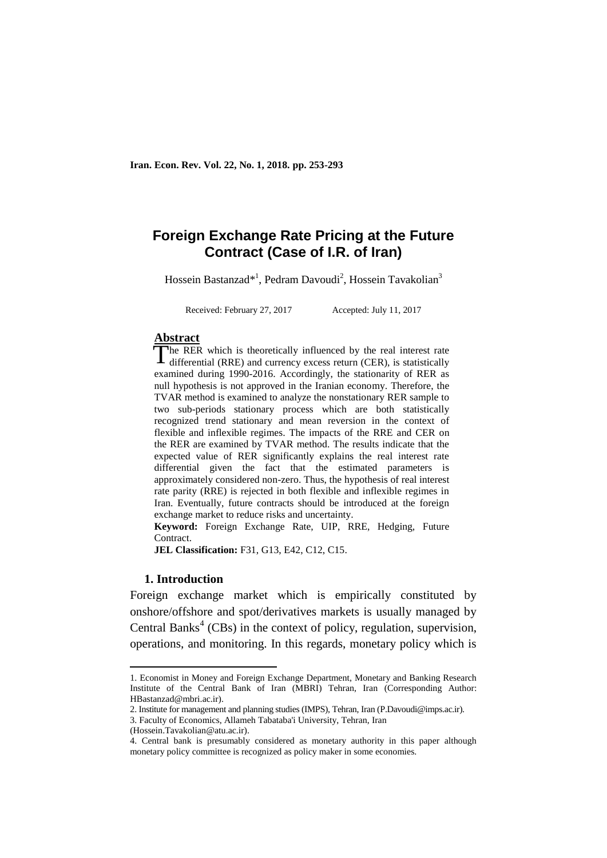**Iran. Econ. Rev. Vol. 22, No. 1, 2018. pp. 253-293**

# **Foreign Exchange Rate Pricing at the Future Contract (Case of I.R. of Iran)**

Hossein Bastanzad\*<sup>1</sup>, Pedram Davoudi<sup>2</sup>, Hossein Tavakolian<sup>3</sup>

Received: February 27, 2017 Accepted: July 11, 2017

#### **Abstract**

The RER which is theoretically influenced by the real interest rate The RER which is theoretically influenced by the real interest rate differential (RRE) and currency excess return (CER), is statistically examined during 1990-2016. Accordingly, the stationarity of RER as null hypothesis is not approved in the Iranian economy. Therefore, the TVAR method is examined to analyze the nonstationary RER sample to two sub-periods stationary process which are both statistically recognized trend stationary and mean reversion in the context of flexible and inflexible regimes. The impacts of the RRE and CER on the RER are examined by TVAR method. The results indicate that the expected value of RER significantly explains the real interest rate differential given the fact that the estimated parameters is approximately considered non-zero. Thus, the hypothesis of real interest rate parity (RRE) is rejected in both flexible and inflexible regimes in Iran. Eventually, future contracts should be introduced at the foreign exchange market to reduce risks and uncertainty.

**Keyword:** Foreign Exchange Rate, UIP, RRE, Hedging, Future Contract.

**JEL Classification:** F31, G13, E42, C12, C15.

#### **1. Introduction**

1

Foreign exchange market which is empirically constituted by onshore/offshore and spot/derivatives markets is usually managed by Central Banks<sup>4</sup> (CBs) in the context of policy, regulation, supervision, operations, and monitoring. In this regards, monetary policy which is

<sup>1.</sup> Economist in Money and Foreign Exchange Department, Monetary and Banking Research Institute of the Central Bank of Iran (MBRI) Tehran, Iran (Corresponding Author: HBastanzad@mbri.ac.ir).

<sup>2.</sup> Institute for management and planning studies (IMPS), Tehran, Iran (P.Davoudi@imps.ac.ir).

<sup>3.</sup> Faculty of Economics, Allameh Tabataba'i University, Tehran, Iran

<sup>(</sup>Hossein.Tavakolian@atu.ac.ir).

<sup>4.</sup> Central bank is presumably considered as monetary authority in this paper although monetary policy committee is recognized as policy maker in some economies.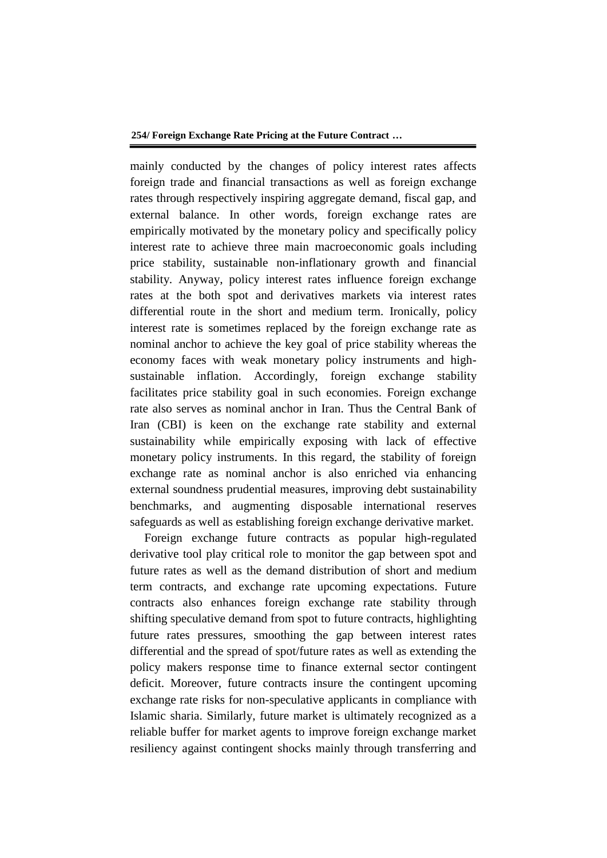mainly conducted by the changes of policy interest rates affects foreign trade and financial transactions as well as foreign exchange rates through respectively inspiring aggregate demand, fiscal gap, and external balance. In other words, foreign exchange rates are empirically motivated by the monetary policy and specifically policy interest rate to achieve three main macroeconomic goals including price stability, sustainable non-inflationary growth and financial stability. Anyway, policy interest rates influence foreign exchange rates at the both spot and derivatives markets via interest rates differential route in the short and medium term. Ironically, policy interest rate is sometimes replaced by the foreign exchange rate as nominal anchor to achieve the key goal of price stability whereas the economy faces with weak monetary policy instruments and highsustainable inflation. Accordingly, foreign exchange stability facilitates price stability goal in such economies. Foreign exchange rate also serves as nominal anchor in Iran. Thus the Central Bank of Iran (CBI) is keen on the exchange rate stability and external sustainability while empirically exposing with lack of effective monetary policy instruments. In this regard, the stability of foreign exchange rate as nominal anchor is also enriched via enhancing external soundness prudential measures, improving debt sustainability benchmarks, and augmenting disposable international reserves safeguards as well as establishing foreign exchange derivative market.

Foreign exchange future contracts as popular high-regulated derivative tool play critical role to monitor the gap between spot and future rates as well as the demand distribution of short and medium term contracts, and exchange rate upcoming expectations. Future contracts also enhances foreign exchange rate stability through shifting speculative demand from spot to future contracts, highlighting future rates pressures, smoothing the gap between interest rates differential and the spread of spot/future rates as well as extending the policy makers response time to finance external sector contingent deficit. Moreover, future contracts insure the contingent upcoming exchange rate risks for non-speculative applicants in compliance with Islamic sharia. Similarly, future market is ultimately recognized as a reliable buffer for market agents to improve foreign exchange market resiliency against contingent shocks mainly through transferring and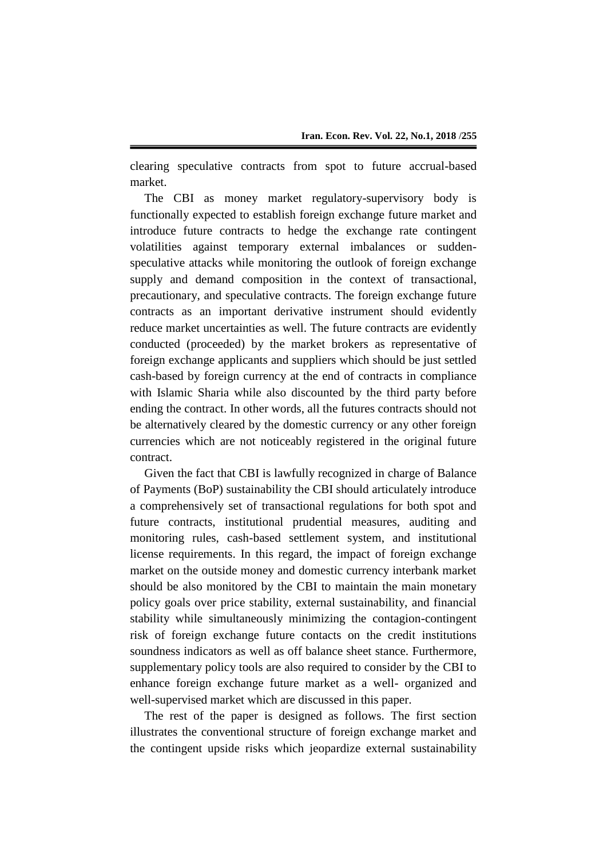clearing speculative contracts from spot to future accrual-based market.

The CBI as money market regulatory-supervisory body is functionally expected to establish foreign exchange future market and introduce future contracts to hedge the exchange rate contingent volatilities against temporary external imbalances or suddenspeculative attacks while monitoring the outlook of foreign exchange supply and demand composition in the context of transactional, precautionary, and speculative contracts. The foreign exchange future contracts as an important derivative instrument should evidently reduce market uncertainties as well. The future contracts are evidently conducted (proceeded) by the market brokers as representative of foreign exchange applicants and suppliers which should be just settled cash-based by foreign currency at the end of contracts in compliance with Islamic Sharia while also discounted by the third party before ending the contract. In other words, all the futures contracts should not be alternatively cleared by the domestic currency or any other foreign currencies which are not noticeably registered in the original future contract.

Given the fact that CBI is lawfully recognized in charge of Balance of Payments (BoP) sustainability the CBI should articulately introduce a comprehensively set of transactional regulations for both spot and future contracts, institutional prudential measures, auditing and monitoring rules, cash-based settlement system, and institutional license requirements. In this regard, the impact of foreign exchange market on the outside money and domestic currency interbank market should be also monitored by the CBI to maintain the main monetary policy goals over price stability, external sustainability, and financial stability while simultaneously minimizing the contagion-contingent risk of foreign exchange future contacts on the credit institutions soundness indicators as well as off balance sheet stance. Furthermore, supplementary policy tools are also required to consider by the CBI to enhance foreign exchange future market as a well- organized and well-supervised market which are discussed in this paper.

The rest of the paper is designed as follows. The first section illustrates the conventional structure of foreign exchange market and the contingent upside risks which jeopardize external sustainability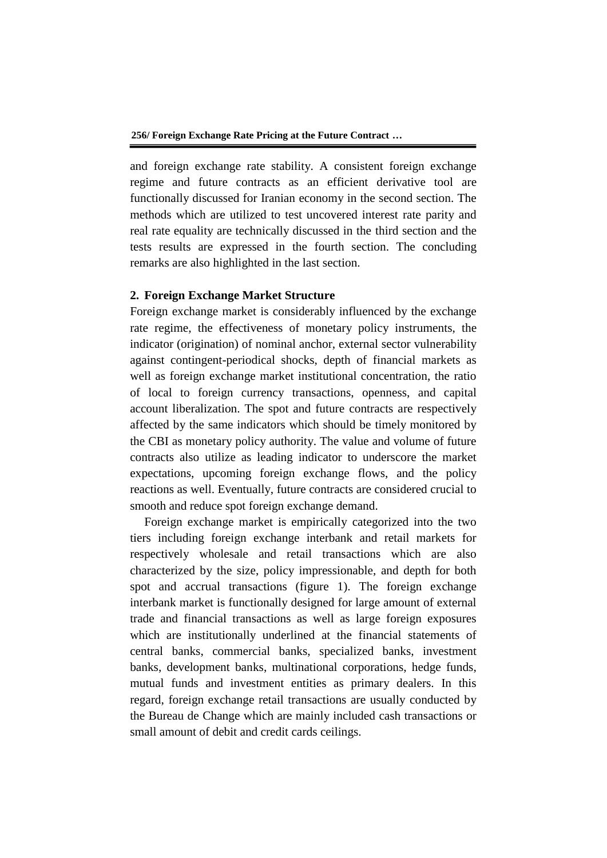**256/ Foreign Exchange Rate Pricing at the Future Contract …**

and foreign exchange rate stability. A consistent foreign exchange regime and future contracts as an efficient derivative tool are functionally discussed for Iranian economy in the second section. The methods which are utilized to test uncovered interest rate parity and real rate equality are technically discussed in the third section and the tests results are expressed in the fourth section. The concluding remarks are also highlighted in the last section.

# **2. Foreign Exchange Market Structure**

Foreign exchange market is considerably influenced by the exchange rate regime, the effectiveness of monetary policy instruments, the indicator (origination) of nominal anchor, external sector vulnerability against contingent-periodical shocks, depth of financial markets as well as foreign exchange market institutional concentration, the ratio of local to foreign currency transactions, openness, and capital account liberalization. The spot and future contracts are respectively affected by the same indicators which should be timely monitored by the CBI as monetary policy authority. The value and volume of future contracts also utilize as leading indicator to underscore the market expectations, upcoming foreign exchange flows, and the policy reactions as well. Eventually, future contracts are considered crucial to smooth and reduce spot foreign exchange demand.

Foreign exchange market is empirically categorized into the two tiers including foreign exchange interbank and retail markets for respectively wholesale and retail transactions which are also characterized by the size, policy impressionable, and depth for both spot and accrual transactions (figure 1). The foreign exchange interbank market is functionally designed for large amount of external trade and financial transactions as well as large foreign exposures which are institutionally underlined at the financial statements of central banks, commercial banks, specialized banks, investment banks, development banks, multinational corporations, hedge funds, mutual funds and investment entities as primary dealers. In this regard, foreign exchange retail transactions are usually conducted by the Bureau de Change which are mainly included cash transactions or small amount of debit and credit cards ceilings.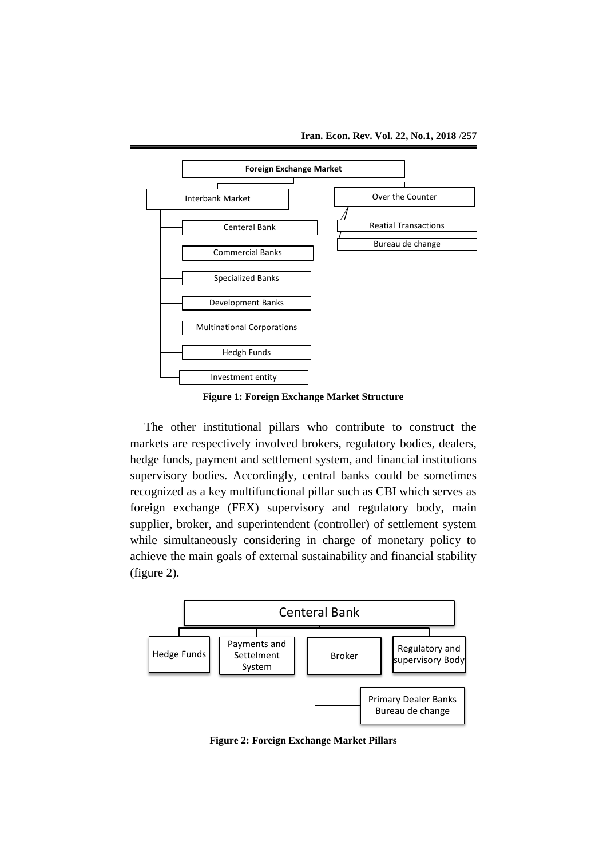

**Figure 1: Foreign Exchange Market Structure**

The other institutional pillars who contribute to construct the markets are respectively involved brokers, regulatory bodies, dealers, hedge funds, payment and settlement system, and financial institutions supervisory bodies. Accordingly, central banks could be sometimes recognized as a key multifunctional pillar such as CBI which serves as foreign exchange (FEX) supervisory and regulatory body, main supplier, broker, and superintendent (controller) of settlement system while simultaneously considering in charge of monetary policy to achieve the main goals of external sustainability and financial stability (figure 2).



**Figure 2: Foreign Exchange Market Pillars**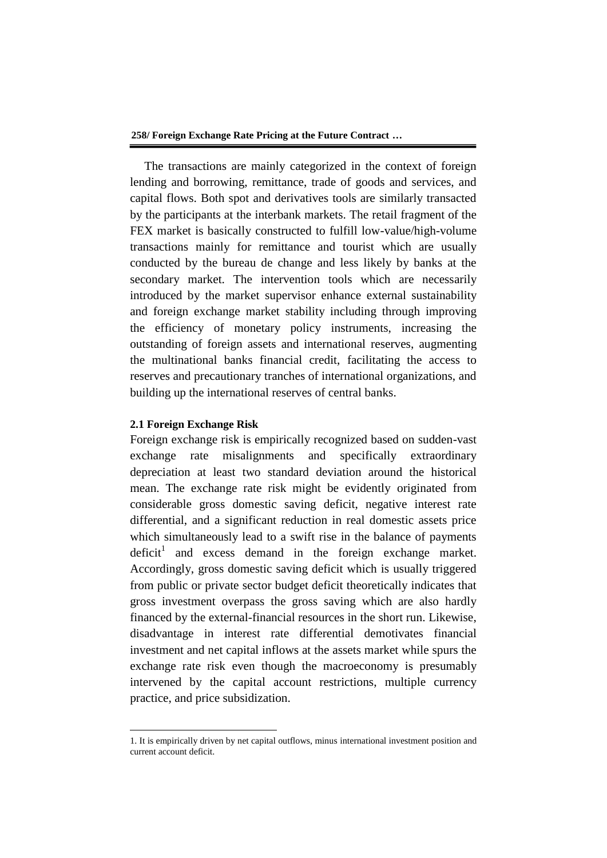**258/ Foreign Exchange Rate Pricing at the Future Contract …**

The transactions are mainly categorized in the context of foreign lending and borrowing, remittance, trade of goods and services, and capital flows. Both spot and derivatives tools are similarly transacted by the participants at the interbank markets. The retail fragment of the FEX market is basically constructed to fulfill low-value/high-volume transactions mainly for remittance and tourist which are usually conducted by the bureau de change and less likely by banks at the secondary market. The intervention tools which are necessarily introduced by the market supervisor enhance external sustainability and foreign exchange market stability including through improving the efficiency of monetary policy instruments, increasing the outstanding of foreign assets and international reserves, augmenting the multinational banks financial credit, facilitating the access to reserves and precautionary tranches of international organizations, and building up the international reserves of central banks.

## **2.1 Foreign Exchange Risk**

**.** 

Foreign exchange risk is empirically recognized based on sudden-vast exchange rate misalignments and specifically extraordinary depreciation at least two standard deviation around the historical mean. The exchange rate risk might be evidently originated from considerable gross domestic saving deficit, negative interest rate differential, and a significant reduction in real domestic assets price which simultaneously lead to a swift rise in the balance of payments deficit<sup>1</sup> and excess demand in the foreign exchange market. Accordingly, gross domestic saving deficit which is usually triggered from public or private sector budget deficit theoretically indicates that gross investment overpass the gross saving which are also hardly financed by the external-financial resources in the short run. Likewise, disadvantage in interest rate differential demotivates financial investment and net capital inflows at the assets market while spurs the exchange rate risk even though the macroeconomy is presumably intervened by the capital account restrictions, multiple currency practice, and price subsidization.

<sup>1.</sup> It is empirically driven by net capital outflows, minus international investment position and current account deficit.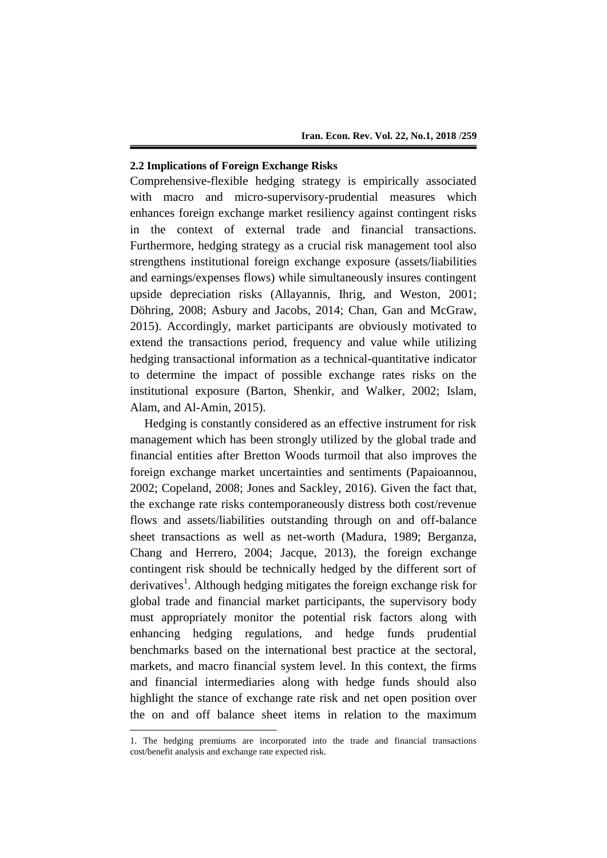## **2.2 Implications of Foreign Exchange Risks**

Comprehensive-flexible hedging strategy is empirically associated with macro and micro-supervisory-prudential measures which enhances foreign exchange market resiliency against contingent risks in the context of external trade and financial transactions. Furthermore, hedging strategy as a crucial risk management tool also strengthens institutional foreign exchange exposure (assets/liabilities and earnings/expenses flows) while simultaneously insures contingent upside depreciation risks (Allayannis, Ihrig, and Weston, 2001; Döhring, 2008; Asbury and Jacobs, 2014; Chan, Gan and McGraw, 2015). Accordingly, market participants are obviously motivated to extend the transactions period, frequency and value while utilizing hedging transactional information as a technical-quantitative indicator to determine the impact of possible exchange rates risks on the institutional exposure (Barton, Shenkir, and Walker, 2002; Islam, Alam, and Al-Amin, 2015).

Hedging is constantly considered as an effective instrument for risk management which has been strongly utilized by the global trade and financial entities after Bretton Woods turmoil that also improves the foreign exchange market uncertainties and sentiments (Papaioannou, 2002; Copeland, 2008; Jones and Sackley, 2016). Given the fact that, the exchange rate risks contemporaneously distress both cost/revenue flows and assets/liabilities outstanding through on and off-balance sheet transactions as well as net-worth (Madura, 1989; Berganza, Chang and Herrero, 2004; Jacque, 2013), the foreign exchange contingent risk should be technically hedged by the different sort of derivatives<sup>1</sup>. Although hedging mitigates the foreign exchange risk for global trade and financial market participants, the supervisory body must appropriately monitor the potential risk factors along with enhancing hedging regulations, and hedge funds prudential benchmarks based on the international best practice at the sectoral, markets, and macro financial system level. In this context, the firms and financial intermediaries along with hedge funds should also highlight the stance of exchange rate risk and net open position over the on and off balance sheet items in relation to the maximum

**.** 

<sup>1.</sup> The hedging premiums are incorporated into the trade and financial transactions cost/benefit analysis and exchange rate expected risk.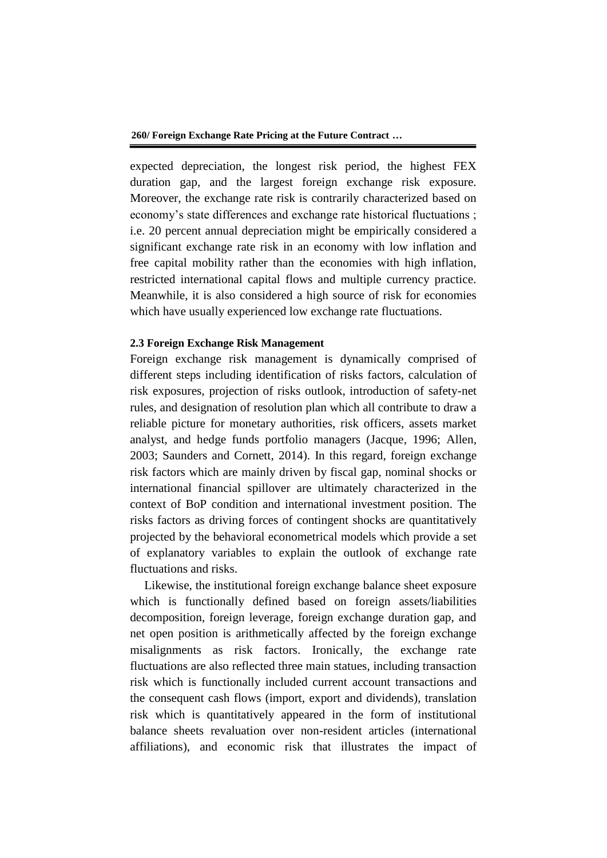expected depreciation, the longest risk period, the highest FEX duration gap, and the largest foreign exchange risk exposure. Moreover, the exchange rate risk is contrarily characterized based on economy's state differences and exchange rate historical fluctuations ; i.e. 20 percent annual depreciation might be empirically considered a significant exchange rate risk in an economy with low inflation and free capital mobility rather than the economies with high inflation, restricted international capital flows and multiple currency practice. Meanwhile, it is also considered a high source of risk for economies which have usually experienced low exchange rate fluctuations.

#### **2.3 Foreign Exchange Risk Management**

Foreign exchange risk management is dynamically comprised of different steps including identification of risks factors, calculation of risk exposures, projection of risks outlook, introduction of safety-net rules, and designation of resolution plan which all contribute to draw a reliable picture for monetary authorities, risk officers, assets market analyst, and hedge funds portfolio managers (Jacque, 1996; Allen, 2003; Saunders and Cornett, 2014). In this regard, foreign exchange risk factors which are mainly driven by fiscal gap, nominal shocks or international financial spillover are ultimately characterized in the context of BoP condition and international investment position. The risks factors as driving forces of contingent shocks are quantitatively projected by the behavioral econometrical models which provide a set of explanatory variables to explain the outlook of exchange rate fluctuations and risks.

Likewise, the institutional foreign exchange balance sheet exposure which is functionally defined based on foreign assets/liabilities decomposition, foreign leverage, foreign exchange duration gap, and net open position is arithmetically affected by the foreign exchange misalignments as risk factors. Ironically, the exchange rate fluctuations are also reflected three main statues, including transaction risk which is functionally included current account transactions and the consequent cash flows (import, export and dividends), translation risk which is quantitatively appeared in the form of institutional balance sheets revaluation over non-resident articles (international affiliations), and economic risk that illustrates the impact of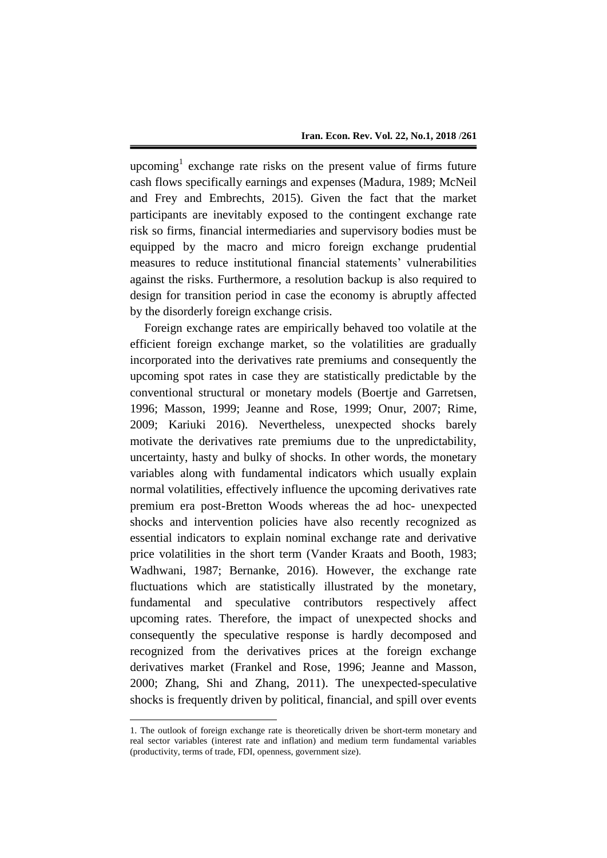upcoming<sup>1</sup> exchange rate risks on the present value of firms future cash flows specifically earnings and expenses (Madura, 1989; McNeil and Frey and Embrechts, 2015). Given the fact that the market participants are inevitably exposed to the contingent exchange rate risk so firms, financial intermediaries and supervisory bodies must be equipped by the macro and micro foreign exchange prudential measures to reduce institutional financial statements' vulnerabilities against the risks. Furthermore, a resolution backup is also required to design for transition period in case the economy is abruptly affected by the disorderly foreign exchange crisis.

Foreign exchange rates are empirically behaved too volatile at the efficient foreign exchange market, so the volatilities are gradually incorporated into the derivatives rate premiums and consequently the upcoming spot rates in case they are statistically predictable by the conventional structural or monetary models (Boertje and Garretsen, 1996; Masson, 1999; Jeanne and Rose, 1999; Onur, 2007; Rime, 2009; Kariuki 2016). Nevertheless, unexpected shocks barely motivate the derivatives rate premiums due to the unpredictability, uncertainty, hasty and bulky of shocks. In other words, the monetary variables along with fundamental indicators which usually explain normal volatilities, effectively influence the upcoming derivatives rate premium era post-Bretton Woods whereas the ad hoc- unexpected shocks and intervention policies have also recently recognized as essential indicators to explain nominal exchange rate and derivative price volatilities in the short term (Vander Kraats and Booth, 1983; Wadhwani, 1987; Bernanke, 2016). However, the exchange rate fluctuations which are statistically illustrated by the monetary, fundamental and speculative contributors respectively affect upcoming rates. Therefore, the impact of unexpected shocks and consequently the speculative response is hardly decomposed and recognized from the derivatives prices at the foreign exchange derivatives market (Frankel and Rose, 1996; Jeanne and Masson, 2000; Zhang, Shi and Zhang, 2011). The unexpected-speculative shocks is frequently driven by political, financial, and spill over events

1

<sup>1.</sup> The outlook of foreign exchange rate is theoretically driven be short-term monetary and real sector variables (interest rate and inflation) and medium term fundamental variables (productivity, terms of trade, FDI, openness, government size).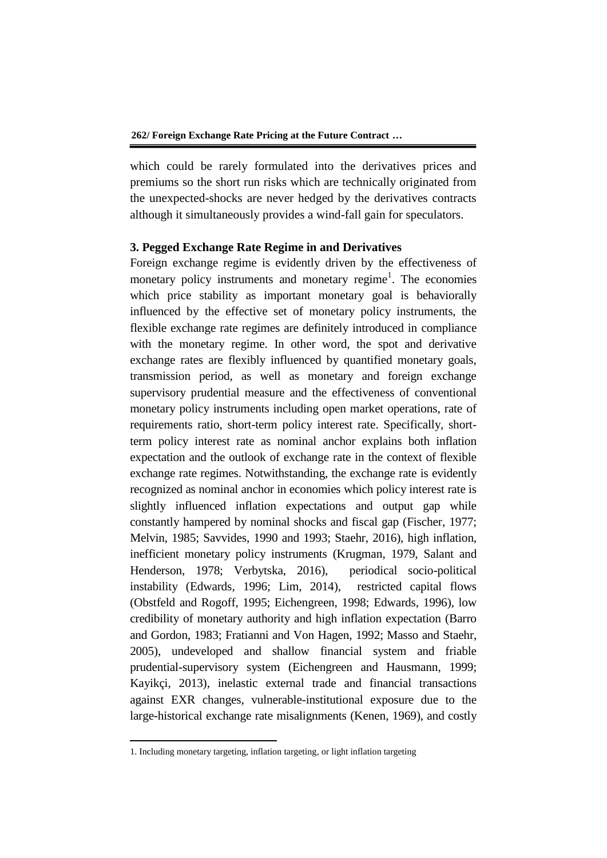which could be rarely formulated into the derivatives prices and premiums so the short run risks which are technically originated from the unexpected-shocks are never hedged by the derivatives contracts although it simultaneously provides a wind-fall gain for speculators.

#### **3. Pegged Exchange Rate Regime in and Derivatives**

Foreign exchange regime is evidently driven by the effectiveness of monetary policy instruments and monetary regime<sup>1</sup>. The economies which price stability as important monetary goal is behaviorally influenced by the effective set of monetary policy instruments, the flexible exchange rate regimes are definitely introduced in compliance with the monetary regime. In other word, the spot and derivative exchange rates are flexibly influenced by quantified monetary goals, transmission period, as well as monetary and foreign exchange supervisory prudential measure and the effectiveness of conventional monetary policy instruments including open market operations, rate of requirements ratio, short-term policy interest rate. Specifically, shortterm policy interest rate as nominal anchor explains both inflation expectation and the outlook of exchange rate in the context of flexible exchange rate regimes. Notwithstanding, the exchange rate is evidently recognized as nominal anchor in economies which policy interest rate is slightly influenced inflation expectations and output gap while constantly hampered by nominal shocks and fiscal gap (Fischer, 1977; Melvin, 1985; Savvides, 1990 and 1993; Staehr, 2016), high inflation, inefficient monetary policy instruments (Krugman, 1979, Salant and Henderson, 1978; Verbytska, 2016), periodical socio-political instability (Edwards, 1996; Lim, 2014), restricted capital flows (Obstfeld and Rogoff, 1995; Eichengreen, 1998; Edwards, 1996), low credibility of monetary authority and high inflation expectation (Barro and Gordon, 1983; Fratianni and Von Hagen, 1992; Masso and Staehr, 2005), undeveloped and shallow financial system and friable prudential-supervisory system (Eichengreen and Hausmann, 1999; Kayikçi, 2013), inelastic external trade and financial transactions against EXR changes, vulnerable-institutional exposure due to the large-historical exchange rate misalignments (Kenen, 1969), and costly

1

<sup>1.</sup> Including monetary targeting, inflation targeting, or light inflation targeting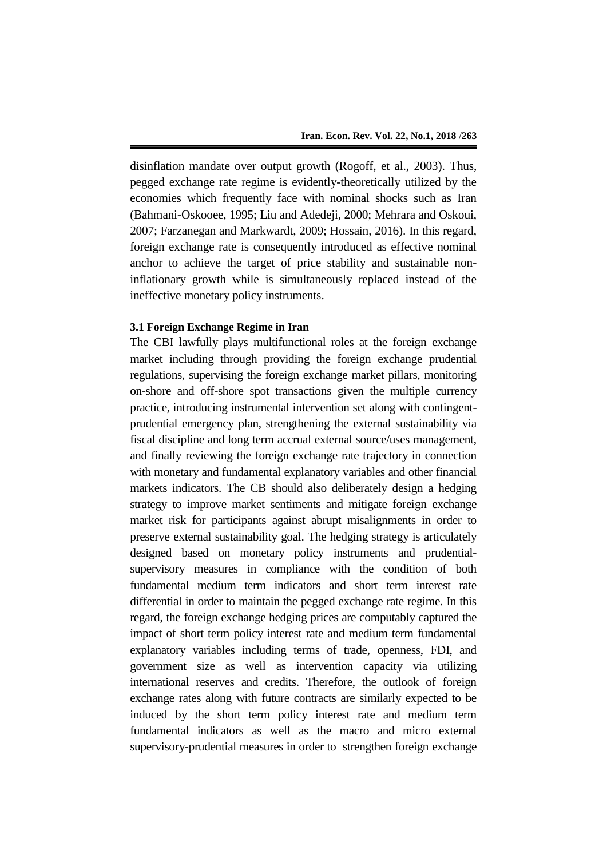disinflation mandate over output growth (Rogoff, et al., 2003). Thus, pegged exchange rate regime is evidently-theoretically utilized by the economies which frequently face with nominal shocks such as Iran (Bahmani-Oskooee, 1995; Liu and Adedeji, 2000; Mehrara and Oskoui, 2007; Farzanegan and Markwardt, 2009; Hossain, 2016). In this regard, foreign exchange rate is consequently introduced as effective nominal anchor to achieve the target of price stability and sustainable noninflationary growth while is simultaneously replaced instead of the ineffective monetary policy instruments.

## **3.1 Foreign Exchange Regime in Iran**

The CBI lawfully plays multifunctional roles at the foreign exchange market including through providing the foreign exchange prudential regulations, supervising the foreign exchange market pillars, monitoring on-shore and off-shore spot transactions given the multiple currency practice, introducing instrumental intervention set along with contingentprudential emergency plan, strengthening the external sustainability via fiscal discipline and long term accrual external source/uses management, and finally reviewing the foreign exchange rate trajectory in connection with monetary and fundamental explanatory variables and other financial markets indicators. The CB should also deliberately design a hedging strategy to improve market sentiments and mitigate foreign exchange market risk for participants against abrupt misalignments in order to preserve external sustainability goal. The hedging strategy is articulately designed based on monetary policy instruments and prudentialsupervisory measures in compliance with the condition of both fundamental medium term indicators and short term interest rate differential in order to maintain the pegged exchange rate regime. In this regard, the foreign exchange hedging prices are computably captured the impact of short term policy interest rate and medium term fundamental explanatory variables including terms of trade, openness, FDI, and government size as well as intervention capacity via utilizing international reserves and credits. Therefore, the outlook of foreign exchange rates along with future contracts are similarly expected to be induced by the short term policy interest rate and medium term fundamental indicators as well as the macro and micro external supervisory-prudential measures in order to strengthen foreign exchange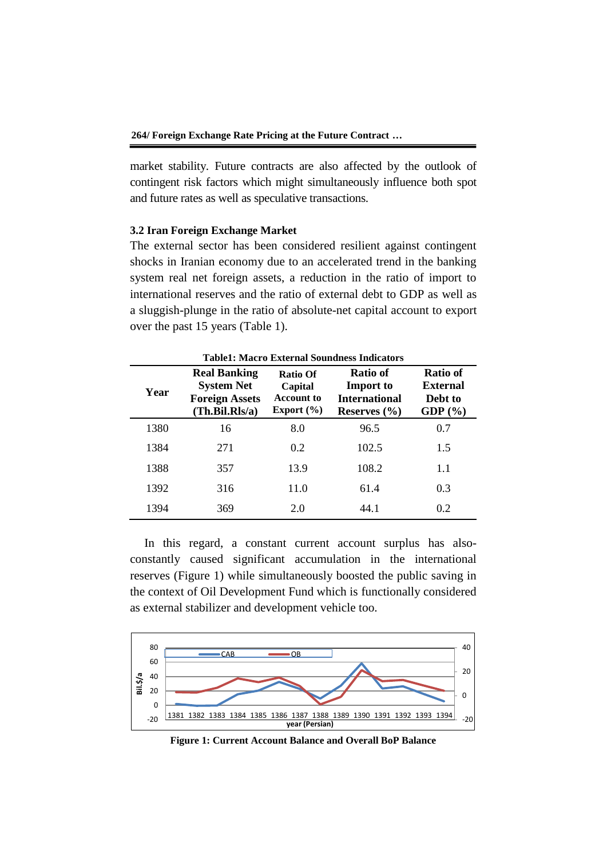market stability. Future contracts are also affected by the outlook of contingent risk factors which might simultaneously influence both spot and future rates as well as speculative transactions.

#### **3.2 Iran Foreign Exchange Market**

The external sector has been considered resilient against contingent shocks in Iranian economy due to an accelerated trend in the banking system real net foreign assets, a reduction in the ratio of import to international reserves and the ratio of external debt to GDP as well as a sluggish-plunge in the ratio of absolute-net capital account to export over the past 15 years (Table 1).

| <b>Table1: Macro External Soundness Indicators</b> |                                                                                     |                                                     |                                                                                 |                                                              |  |  |  |  |
|----------------------------------------------------|-------------------------------------------------------------------------------------|-----------------------------------------------------|---------------------------------------------------------------------------------|--------------------------------------------------------------|--|--|--|--|
| Year                                               | <b>Real Banking</b><br><b>System Net</b><br><b>Foreign Assets</b><br>(Th.Bil.Rls/a) | Ratio Of<br>Capital<br>Account to<br>Export $(\% )$ | <b>Ratio of</b><br><b>Import</b> to<br><b>International</b><br>Reserves $(\% )$ | <b>Ratio of</b><br><b>External</b><br>Debt to<br>GDP $(\% )$ |  |  |  |  |
| 1380                                               | 16                                                                                  | 8.0                                                 | 96.5                                                                            | 0.7                                                          |  |  |  |  |
| 1384                                               | 271                                                                                 | 0.2                                                 | 102.5                                                                           | 1.5                                                          |  |  |  |  |
| 1388                                               | 357                                                                                 | 13.9                                                | 108.2                                                                           | 1.1                                                          |  |  |  |  |
| 1392                                               | 316                                                                                 | 11.0                                                | 61.4                                                                            | 0.3                                                          |  |  |  |  |
| 1394                                               | 369                                                                                 | 2.0                                                 | 44.1                                                                            | 0.2                                                          |  |  |  |  |

In this regard, a constant current account surplus has alsoconstantly caused significant accumulation in the international reserves (Figure 1) while simultaneously boosted the public saving in the context of Oil Development Fund which is functionally considered as external stabilizer and development vehicle too.



**Figure 1: Current Account Balance and Overall BoP Balance**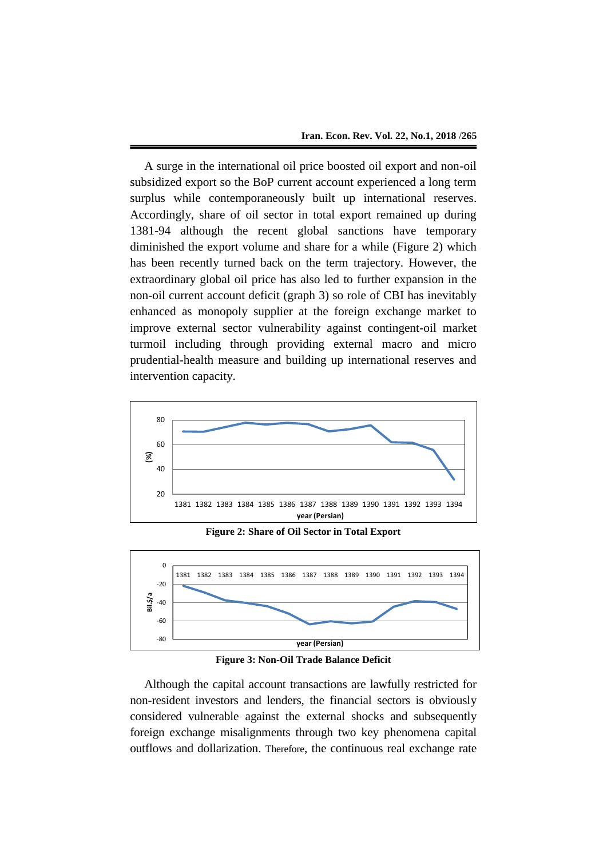A surge in the international oil price boosted oil export and non-oil subsidized export so the BoP current account experienced a long term surplus while contemporaneously built up international reserves. Accordingly, share of oil sector in total export remained up during 1381-94 although the recent global sanctions have temporary diminished the export volume and share for a while (Figure 2) which has been recently turned back on the term trajectory. However, the extraordinary global oil price has also led to further expansion in the non-oil current account deficit (graph 3) so role of CBI has inevitably enhanced as monopoly supplier at the foreign exchange market to improve external sector vulnerability against contingent-oil market turmoil including through providing external macro and micro prudential-health measure and building up international reserves and intervention capacity.



**Figure 2: Share of Oil Sector in Total Export**



**Figure 3: Non-Oil Trade Balance Deficit**

Although the capital account transactions are lawfully restricted for non-resident investors and lenders, the financial sectors is obviously considered vulnerable against the external shocks and subsequently foreign exchange misalignments through two key phenomena capital outflows and dollarization. Therefore, the continuous real exchange rate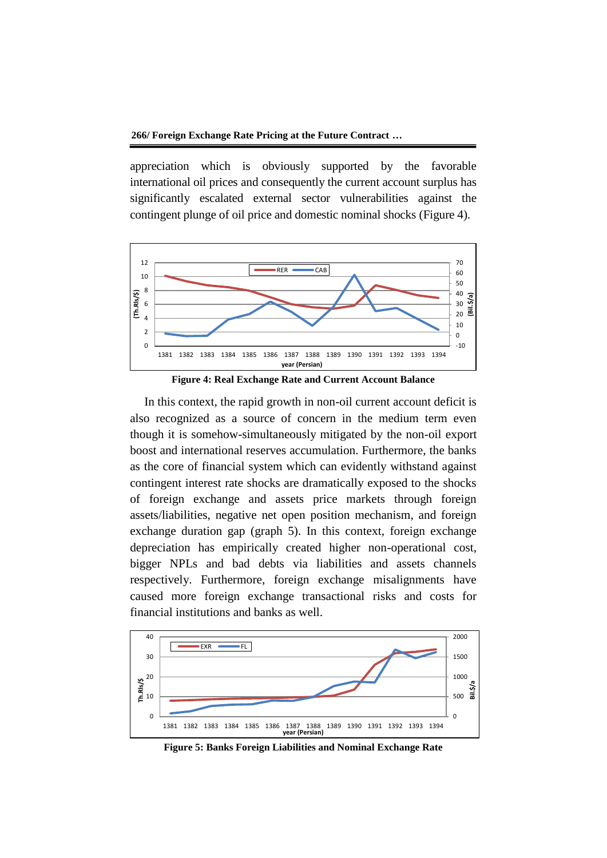**266/ Foreign Exchange Rate Pricing at the Future Contract …**

appreciation which is obviously supported by the favorable international oil prices and consequently the current account surplus has significantly escalated external sector vulnerabilities against the contingent plunge of oil price and domestic nominal shocks (Figure 4).



**Figure 4: Real Exchange Rate and Current Account Balance** 

In this context, the rapid growth in non-oil current account deficit is also recognized as a source of concern in the medium term even though it is somehow-simultaneously mitigated by the non-oil export boost and international reserves accumulation. Furthermore, the banks as the core of financial system which can evidently withstand against contingent interest rate shocks are dramatically exposed to the shocks of foreign exchange and assets price markets through foreign assets/liabilities, negative net open position mechanism, and foreign exchange duration gap (graph 5). In this context, foreign exchange depreciation has empirically created higher non-operational cost, bigger NPLs and bad debts via liabilities and assets channels respectively. Furthermore, foreign exchange misalignments have caused more foreign exchange transactional risks and costs for financial institutions and banks as well.



**Figure 5: Banks Foreign Liabilities and Nominal Exchange Rate**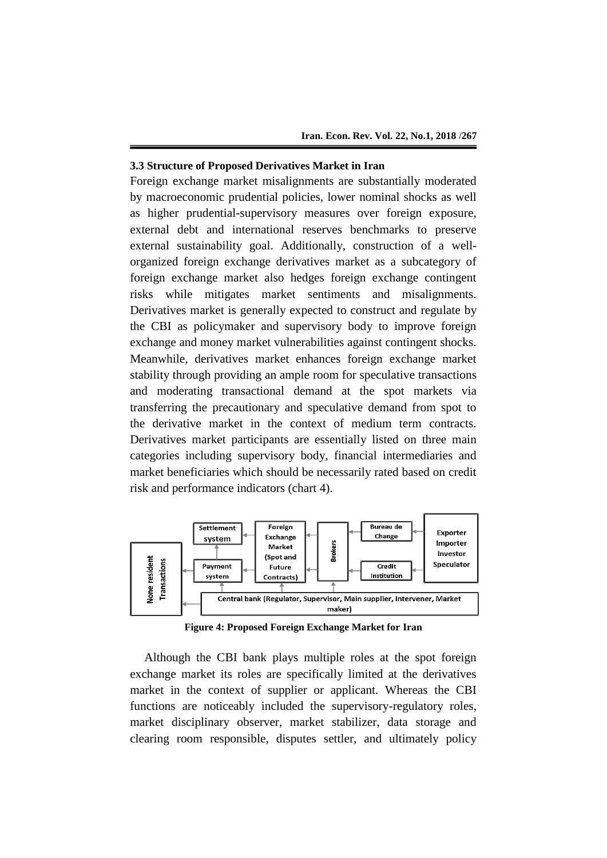#### **3.3 Structure of Proposed Derivatives Market in Iran**

Foreign exchange market misalignments are substantially moderated by macroeconomic prudential policies, lower nominal shocks as well as higher prudential-supervisory measures over foreign exposure, external debt and international reserves benchmarks to preserve external sustainability goal. Additionally, construction of a wellorganized foreign exchange derivatives market as a subcategory of foreign exchange market also hedges foreign exchange contingent risks while mitigates market sentiments and misalignments. Derivatives market is generally expected to construct and regulate by the CBI as policymaker and supervisory body to improve foreign exchange and money market vulnerabilities against contingent shocks. Meanwhile, derivatives market enhances foreign exchange market stability through providing an ample room for speculative transactions and moderating transactional demand at the spot markets via transferring the precautionary and speculative demand from spot to the derivative market in the context of medium term contracts. Derivatives market participants are essentially listed on three main categories including supervisory body, financial intermediaries and market beneficiaries which should be necessarily rated based on credit risk and performance indicators (chart 4).



**Figure 4: Proposed Foreign Exchange Market for Iran**

Although the CBI bank plays multiple roles at the spot foreign exchange market its roles are specifically limited at the derivatives market in the context of supplier or applicant. Whereas the CBI functions are noticeably included the supervisory-regulatory roles, market disciplinary observer, market stabilizer, data storage and clearing room responsible, disputes settler, and ultimately policy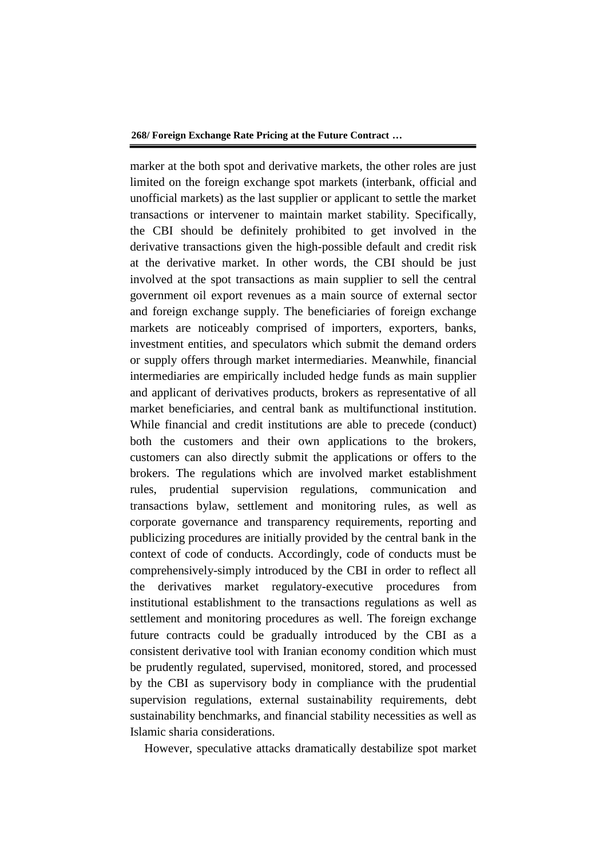marker at the both spot and derivative markets, the other roles are just limited on the foreign exchange spot markets (interbank, official and unofficial markets) as the last supplier or applicant to settle the market transactions or intervener to maintain market stability. Specifically, the CBI should be definitely prohibited to get involved in the derivative transactions given the high-possible default and credit risk at the derivative market. In other words, the CBI should be just involved at the spot transactions as main supplier to sell the central government oil export revenues as a main source of external sector and foreign exchange supply. The beneficiaries of foreign exchange markets are noticeably comprised of importers, exporters, banks, investment entities, and speculators which submit the demand orders or supply offers through market intermediaries. Meanwhile, financial intermediaries are empirically included hedge funds as main supplier and applicant of derivatives products, brokers as representative of all market beneficiaries, and central bank as multifunctional institution. While financial and credit institutions are able to precede (conduct) both the customers and their own applications to the brokers, customers can also directly submit the applications or offers to the brokers. The regulations which are involved market establishment rules, prudential supervision regulations, communication and transactions bylaw, settlement and monitoring rules, as well as corporate governance and transparency requirements, reporting and publicizing procedures are initially provided by the central bank in the context of code of conducts. Accordingly, code of conducts must be comprehensively-simply introduced by the CBI in order to reflect all the derivatives market regulatory-executive procedures from institutional establishment to the transactions regulations as well as settlement and monitoring procedures as well. The foreign exchange future contracts could be gradually introduced by the CBI as a consistent derivative tool with Iranian economy condition which must be prudently regulated, supervised, monitored, stored, and processed by the CBI as supervisory body in compliance with the prudential supervision regulations, external sustainability requirements, debt sustainability benchmarks, and financial stability necessities as well as Islamic sharia considerations.

However, speculative attacks dramatically destabilize spot market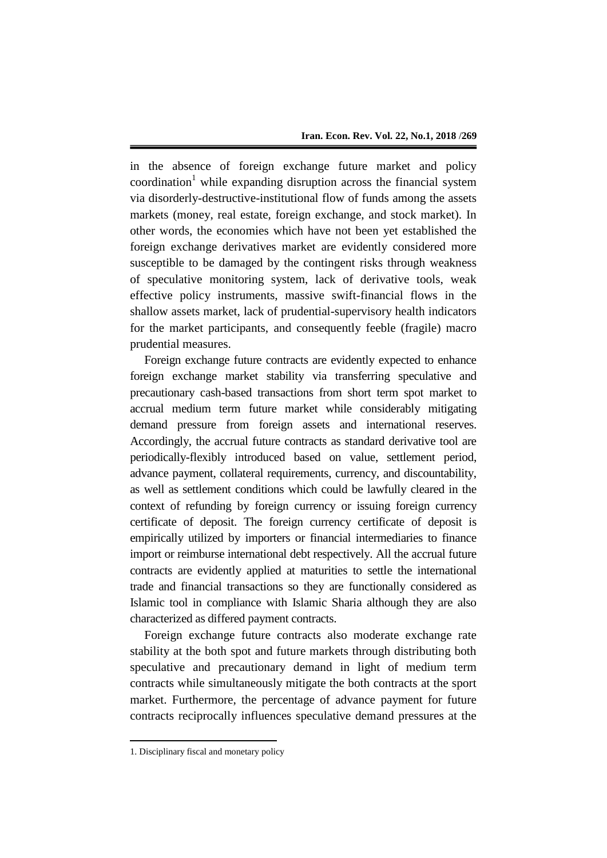in the absence of foreign exchange future market and policy  $coordination<sup>1</sup>$  while expanding disruption across the financial system via disorderly-destructive-institutional flow of funds among the assets markets (money, real estate, foreign exchange, and stock market). In other words, the economies which have not been yet established the foreign exchange derivatives market are evidently considered more susceptible to be damaged by the contingent risks through weakness of speculative monitoring system, lack of derivative tools, weak effective policy instruments, massive swift-financial flows in the shallow assets market, lack of prudential-supervisory health indicators for the market participants, and consequently feeble (fragile) macro prudential measures.

Foreign exchange future contracts are evidently expected to enhance foreign exchange market stability via transferring speculative and precautionary cash-based transactions from short term spot market to accrual medium term future market while considerably mitigating demand pressure from foreign assets and international reserves. Accordingly, the accrual future contracts as standard derivative tool are periodically-flexibly introduced based on value, settlement period, advance payment, collateral requirements, currency, and discountability, as well as settlement conditions which could be lawfully cleared in the context of refunding by foreign currency or issuing foreign currency certificate of deposit. The foreign currency certificate of deposit is empirically utilized by importers or financial intermediaries to finance import or reimburse international debt respectively. All the accrual future contracts are evidently applied at maturities to settle the international trade and financial transactions so they are functionally considered as Islamic tool in compliance with Islamic Sharia although they are also characterized as differed payment contracts.

Foreign exchange future contracts also moderate exchange rate stability at the both spot and future markets through distributing both speculative and precautionary demand in light of medium term contracts while simultaneously mitigate the both contracts at the sport market. Furthermore, the percentage of advance payment for future contracts reciprocally influences speculative demand pressures at the

1

<sup>1.</sup> Disciplinary fiscal and monetary policy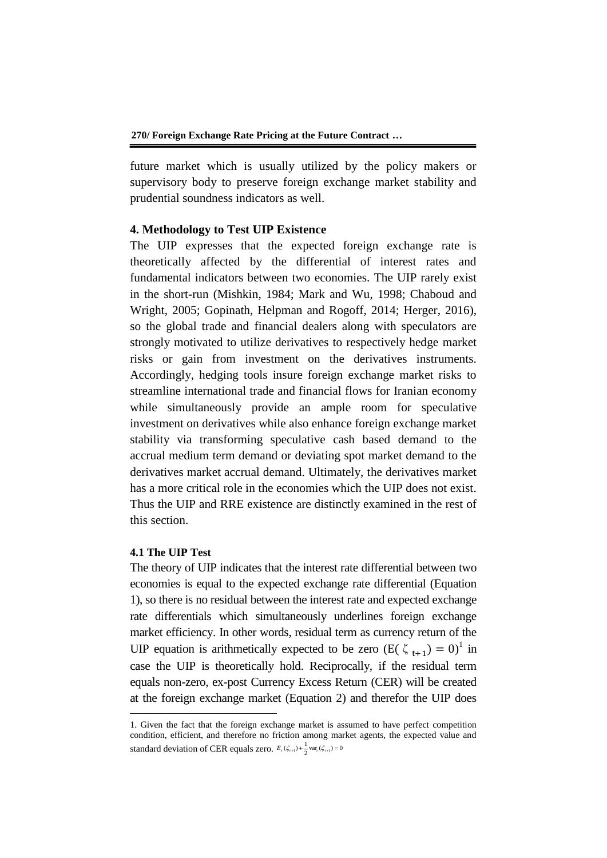future market which is usually utilized by the policy makers or supervisory body to preserve foreign exchange market stability and prudential soundness indicators as well.

## **4. Methodology to Test UIP Existence**

The UIP expresses that the expected foreign exchange rate is theoretically affected by the differential of interest rates and fundamental indicators between two economies. The UIP rarely exist in the short-run (Mishkin, 1984; Mark and Wu, 1998; Chaboud and Wright, 2005; Gopinath, Helpman and Rogoff, 2014; Herger, 2016), so the global trade and financial dealers along with speculators are strongly motivated to utilize derivatives to respectively hedge market risks or gain from investment on the derivatives instruments. Accordingly, hedging tools insure foreign exchange market risks to streamline international trade and financial flows for Iranian economy while simultaneously provide an ample room for speculative investment on derivatives while also enhance foreign exchange market stability via transforming speculative cash based demand to the accrual medium term demand or deviating spot market demand to the derivatives market accrual demand. Ultimately, the derivatives market has a more critical role in the economies which the UIP does not exist. Thus the UIP and RRE existence are distinctly examined in the rest of this section.

## **4.1 The UIP Test**

-

The theory of UIP indicates that the interest rate differential between two economies is equal to the expected exchange rate differential (Equation 1), so there is no residual between the interest rate and expected exchange rate differentials which simultaneously underlines foreign exchange market efficiency. In other words, residual term as currency return of the UIP equation is arithmetically expected to be zero  $(E(\zeta_{t+1}) = 0)^{1}$  in case the UIP is theoretically hold. Reciprocally, if the residual term equals non-zero, ex-post Currency Excess Return (CER) will be created at the foreign exchange market (Equation 2) and therefor the UIP does

<sup>1.</sup> Given the fact that the foreign exchange market is assumed to have perfect competition condition, efficient, and therefore no friction among market agents, the expected value and standard deviation of CER equals zero.  $E_t(\zeta_{t+1}) + \frac{1}{2} \text{var}_t(\zeta_{t+1}) = 0$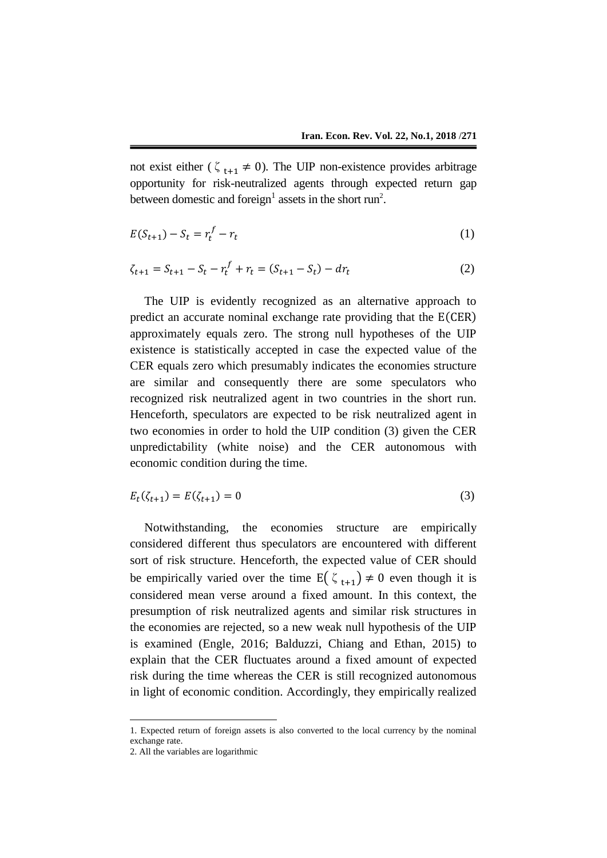not exist either ( $\zeta_{t+1} \neq 0$ ). The UIP non-existence provides arbitrage opportunity for risk-neutralized agents through expected return gap between domestic and foreign<sup>1</sup> assets in the short run<sup>2</sup>.

$$
E(S_{t+1}) - S_t = r_t^f - r_t
$$
 (1)

$$
\zeta_{t+1} = S_{t+1} - S_t - r_t^f + r_t = (S_{t+1} - S_t) - dr_t \tag{2}
$$

The UIP is evidently recognized as an alternative approach to predict an accurate nominal exchange rate providing that the E(CER) approximately equals zero. The strong null hypotheses of the UIP existence is statistically accepted in case the expected value of the CER equals zero which presumably indicates the economies structure are similar and consequently there are some speculators who recognized risk neutralized agent in two countries in the short run. Henceforth, speculators are expected to be risk neutralized agent in two economies in order to hold the UIP condition (3) given the CER unpredictability (white noise) and the CER autonomous with economic condition during the time.

$$
E_t(\zeta_{t+1}) = E(\zeta_{t+1}) = 0 \tag{3}
$$

Notwithstanding, the economies structure are empirically considered different thus speculators are encountered with different sort of risk structure. Henceforth, the expected value of CER should be empirically varied over the time  $E(\zeta_{t+1}) \neq 0$  even though it is considered mean verse around a fixed amount. In this context, the presumption of risk neutralized agents and similar risk structures in the economies are rejected, so a new weak null hypothesis of the UIP is examined (Engle, 2016; Balduzzi, Chiang and Ethan, 2015) to explain that the CER fluctuates around a fixed amount of expected risk during the time whereas the CER is still recognized autonomous in light of economic condition. Accordingly, they empirically realized

1

<sup>1.</sup> Expected return of foreign assets is also converted to the local currency by the nominal exchange rate.

<sup>2.</sup> All the variables are logarithmic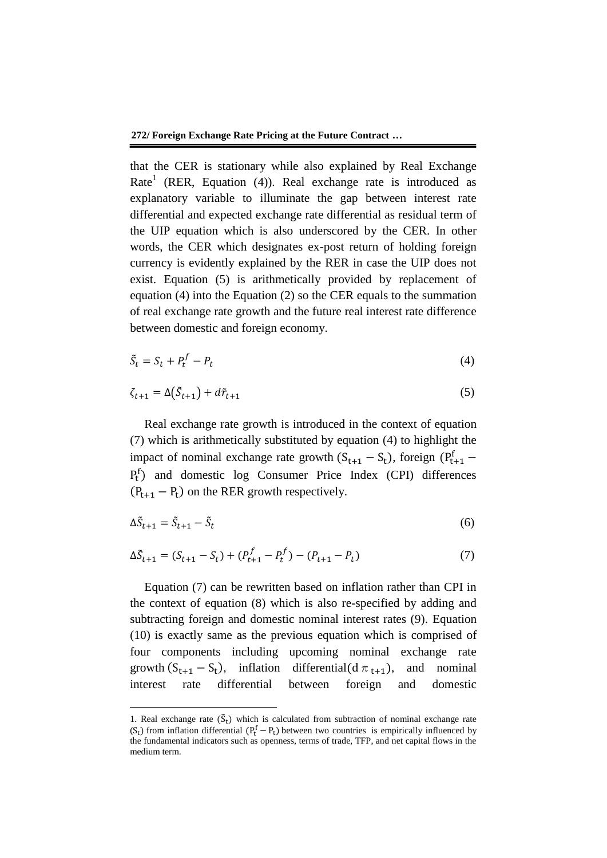that the CER is stationary while also explained by Real Exchange Rate<sup>1</sup> (RER, Equation (4)). Real exchange rate is introduced as explanatory variable to illuminate the gap between interest rate differential and expected exchange rate differential as residual term of the UIP equation which is also underscored by the CER. In other words, the CER which designates ex-post return of holding foreign currency is evidently explained by the RER in case the UIP does not exist. Equation (5) is arithmetically provided by replacement of equation (4) into the Equation (2) so the CER equals to the summation of real exchange rate growth and the future real interest rate difference between domestic and foreign economy.

$$
\tilde{S}_t = S_t + P_t^f - P_t \tag{4}
$$

$$
\zeta_{t+1} = \Delta(\tilde{S}_{t+1}) + d\tilde{r}_{t+1} \tag{5}
$$

Real exchange rate growth is introduced in the context of equation (7) which is arithmetically substituted by equation (4) to highlight the impact of nominal exchange rate growth  $(S_{t+1} - S_t)$ , foreign  $(P_{t+1}^f - S_t)$ Pt f ) and domestic log Consumer Price Index (CPI) differences  $(P_{t+1} - P_t)$  on the RER growth respectively.

$$
\Delta \tilde{S}_{t+1} = \tilde{S}_{t+1} - \tilde{S}_t \tag{6}
$$

$$
\Delta \tilde{S}_{t+1} = (S_{t+1} - S_t) + (P_{t+1}^f - P_t^f) - (P_{t+1} - P_t)
$$
\n(7)

Equation (7) can be rewritten based on inflation rather than CPI in the context of equation (8) which is also re-specified by adding and subtracting foreign and domestic nominal interest rates (9). Equation (10) is exactly same as the previous equation which is comprised of four components including upcoming nominal exchange rate growth  $(S_{t+1} - S_t)$ , inflation differential(d  $\pi_{t+1}$ ), and nominal interest rate differential between foreign and domestic

**.** 

<sup>1.</sup> Real exchange rate  $(\tilde{S}_t)$  which is calculated from subtraction of nominal exchange rate  $(S_t)$  from inflation differential  $(P_t^f - P_t)$  between two countries is empirically influenced by the fundamental indicators such as openness, terms of trade, TFP, and net capital flows in the medium term.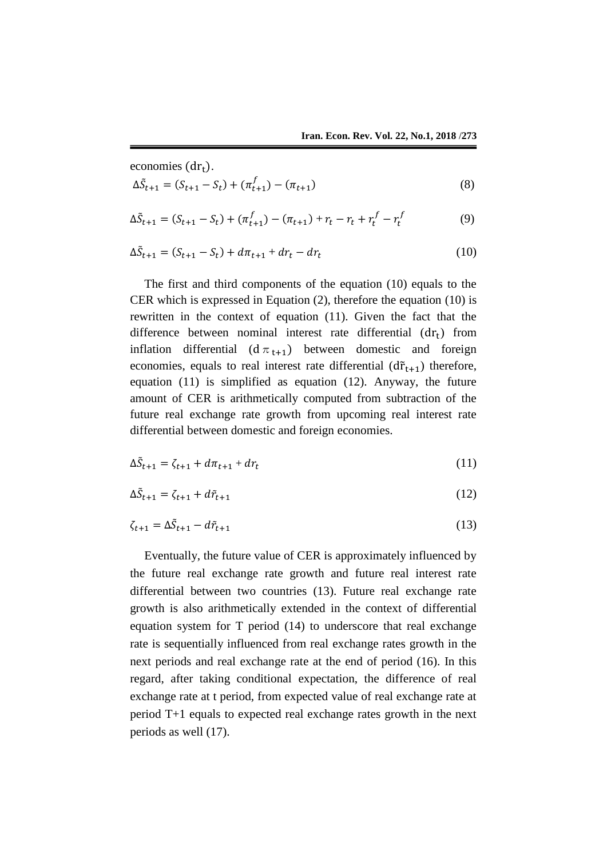economies  $(dr_t)$ .

$$
\Delta \tilde{S}_{t+1} = (S_{t+1} - S_t) + (\pi_{t+1}^f) - (\pi_{t+1})
$$
\n(8)

$$
\Delta \tilde{S}_{t+1} = (S_{t+1} - S_t) + (\pi_{t+1}^f) - (\pi_{t+1}) + r_t - r_t + r_t^f - r_t^f \tag{9}
$$

$$
\Delta \tilde{S}_{t+1} = (S_{t+1} - S_t) + d\pi_{t+1} + dr_t - dr_t
$$
\n(10)

The first and third components of the equation (10) equals to the CER which is expressed in Equation (2), therefore the equation (10) is rewritten in the context of equation (11). Given the fact that the difference between nominal interest rate differential  $(dr_t)$  from inflation differential  $(d \pi_{t+1})$  between domestic and foreign economies, equals to real interest rate differential  $(d\tilde{r}_{t+1})$  therefore, equation (11) is simplified as equation (12). Anyway, the future amount of CER is arithmetically computed from subtraction of the future real exchange rate growth from upcoming real interest rate differential between domestic and foreign economies.

$$
\Delta \tilde{S}_{t+1} = \zeta_{t+1} + d\pi_{t+1} + dr_t \tag{11}
$$

$$
\Delta \tilde{S}_{t+1} = \zeta_{t+1} + d\tilde{r}_{t+1} \tag{12}
$$

$$
\zeta_{t+1} = \Delta \tilde{S}_{t+1} - d\tilde{r}_{t+1} \tag{13}
$$

Eventually, the future value of CER is approximately influenced by the future real exchange rate growth and future real interest rate differential between two countries (13). Future real exchange rate growth is also arithmetically extended in the context of differential equation system for T period (14) to underscore that real exchange rate is sequentially influenced from real exchange rates growth in the next periods and real exchange rate at the end of period (16). In this regard, after taking conditional expectation, the difference of real exchange rate at t period, from expected value of real exchange rate at period T+1 equals to expected real exchange rates growth in the next periods as well (17).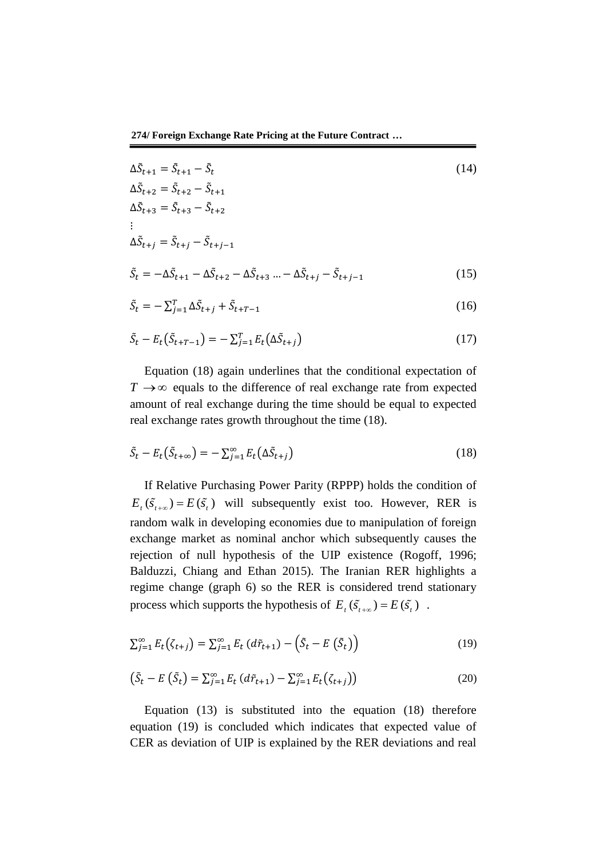**274/ Foreign Exchange Rate Pricing at the Future Contract …**

$$
\Delta \tilde{S}_{t+1} = \tilde{S}_{t+1} - \tilde{S}_t
$$
\n
$$
\Delta \tilde{S}_{t+2} = \tilde{S}_{t+2} - \tilde{S}_{t+1}
$$
\n
$$
\Delta \tilde{S}_{t+3} = \tilde{S}_{t+3} - \tilde{S}_{t+2}
$$
\n
$$
\vdots
$$
\n
$$
\Delta \tilde{S}_{t+j} = \tilde{S}_{t+j} - \tilde{S}_{t+j-1}
$$
\n
$$
\tilde{S}_t = -\Delta \tilde{S}_{t+1} - \Delta \tilde{S}_{t+2} - \Delta \tilde{S}_{t+3} \dots - \Delta \tilde{S}_{t+j} - \tilde{S}_{t+j-1}
$$
\n
$$
\tilde{S}_t = -\sum_{j=1}^T \Delta \tilde{S}_{t+j} + \tilde{S}_{t+T-1}
$$
\n(16)

$$
\tilde{S}_t - E_t(\tilde{S}_{t+T-1}) = -\sum_{j=1}^T E_t(\Delta \tilde{S}_{t+j})
$$
\n(17)

Equation (18) again underlines that the conditional expectation of  $T \rightarrow \infty$  equals to the difference of real exchange rate from expected amount of real exchange during the time should be equal to expected real exchange rates growth throughout the time (18).

$$
\tilde{S}_t - E_t(\tilde{S}_{t+\infty}) = -\sum_{j=1}^{\infty} E_t(\Delta \tilde{S}_{t+j})
$$
\n(18)

If Relative Purchasing Power Parity (RPPP) holds the condition of  $E_t(\tilde{S}_{t+\infty}) = E(\tilde{S}_t)$  will subsequently exist too. However, RER is random walk in developing economies due to manipulation of foreign exchange market as nominal anchor which subsequently causes the rejection of null hypothesis of the UIP existence (Rogoff, 1996; Balduzzi, Chiang and Ethan 2015). The Iranian RER highlights a regime change (graph 6) so the RER is considered trend stationary process which supports the hypothesis of  $E_t(\tilde{S}_{t+\infty}) = E(\tilde{S}_t)$ .

$$
\sum_{j=1}^{\infty} E_t(\zeta_{t+j}) = \sum_{j=1}^{\infty} E_t(d\tilde{r}_{t+1}) - (\tilde{S}_t - E(\tilde{S}_t))
$$
\n(19)

$$
\left(\tilde{S}_t - E\left(\tilde{S}_t\right) = \sum_{j=1}^{\infty} E_t\left(d\tilde{r}_{t+1}\right) - \sum_{j=1}^{\infty} E_t\left(\zeta_{t+j}\right)\right) \tag{20}
$$

Equation (13) is substituted into the equation (18) therefore equation (19) is concluded which indicates that expected value of CER as deviation of UIP is explained by the RER deviations and real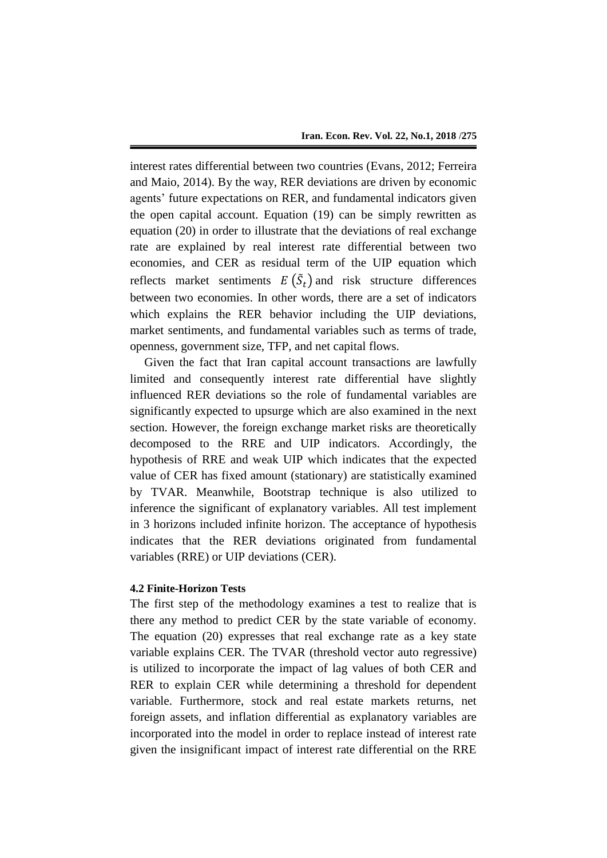interest rates differential between two countries (Evans, 2012; Ferreira and Maio, 2014). By the way, RER deviations are driven by economic agents' future expectations on RER, and fundamental indicators given the open capital account. Equation (19) can be simply rewritten as equation (20) in order to illustrate that the deviations of real exchange rate are explained by real interest rate differential between two economies, and CER as residual term of the UIP equation which reflects market sentiments  $E(\tilde{S}_t)$  and risk structure differences between two economies. In other words, there are a set of indicators which explains the RER behavior including the UIP deviations, market sentiments, and fundamental variables such as terms of trade, openness, government size, TFP, and net capital flows.

Given the fact that Iran capital account transactions are lawfully limited and consequently interest rate differential have slightly influenced RER deviations so the role of fundamental variables are significantly expected to upsurge which are also examined in the next section. However, the foreign exchange market risks are theoretically decomposed to the RRE and UIP indicators. Accordingly, the hypothesis of RRE and weak UIP which indicates that the expected value of CER has fixed amount (stationary) are statistically examined by TVAR. Meanwhile, Bootstrap technique is also utilized to inference the significant of explanatory variables. All test implement in 3 horizons included infinite horizon. The acceptance of hypothesis indicates that the RER deviations originated from fundamental variables (RRE) or UIP deviations (CER).

## **4.2 Finite-Horizon Tests**

The first step of the methodology examines a test to realize that is there any method to predict CER by the state variable of economy. The equation (20) expresses that real exchange rate as a key state variable explains CER. The TVAR (threshold vector auto regressive) is utilized to incorporate the impact of lag values of both CER and RER to explain CER while determining a threshold for dependent variable. Furthermore, stock and real estate markets returns, net foreign assets, and inflation differential as explanatory variables are incorporated into the model in order to replace instead of interest rate given the insignificant impact of interest rate differential on the RRE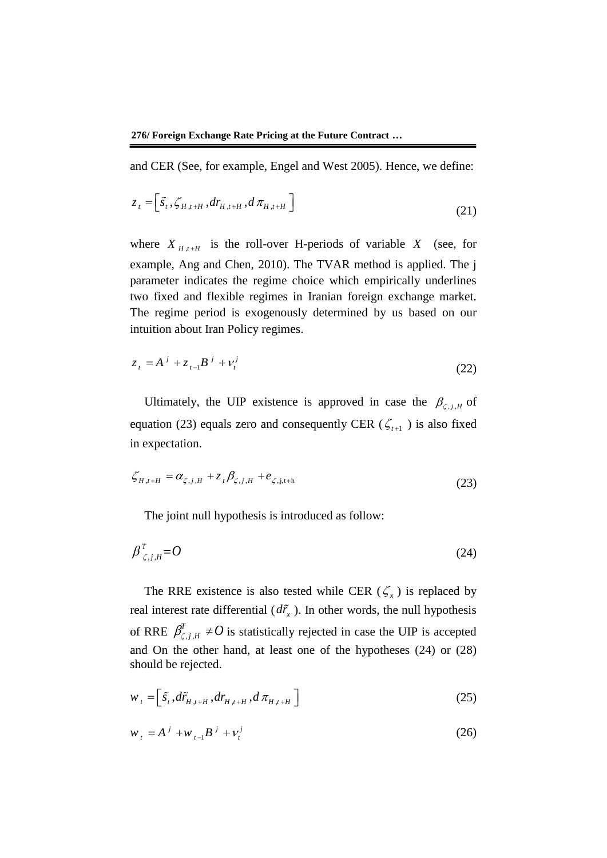and CER (See, for example, Engel and West 2005). Hence, we define:

$$
z_{t} = \left[ \tilde{s}_{t}, \zeta_{H,t+H}, dr_{H,t+H}, d \pi_{H,t+H} \right]
$$
\n(21)

where  $X_{H,t+H}$  is the roll-over H-periods of variable X (see, for example, Ang and Chen, 2010). The TVAR method is applied. The j parameter indicates the regime choice which empirically underlines two fixed and flexible regimes in Iranian foreign exchange market. The regime period is exogenously determined by us based on our intuition about Iran Policy regimes.

$$
z_t = A^j + z_{t-1} B^j + v_t^j
$$
 (22)

Ultimately, the UIP existence is approved in case the  $\beta_{\zeta, j, H}$  of equation (23) equals zero and consequently CER ( $\zeta$ <sub>t+1</sub>) is also fixed in expectation.

$$
\zeta_{H,t+H} = \alpha_{\zeta,j,H} + z_t \beta_{\zeta,j,H} + e_{\zeta,j,t+h}
$$
\n(23)

The joint null hypothesis is introduced as follow:

$$
\beta^T_{\zeta,j,H} = O \tag{24}
$$

The RRE existence is also tested while CER  $(\zeta_x)$  is replaced by real interest rate differential  $(d\tilde{r}_x)$ . In other words, the null hypothesis of RRE  $\beta'_{\zeta,j}$  $\beta^T_{\zeta, j, H} \neq O$  is statistically rejected in case the UIP is accepted and On the other hand, at least one of the hypotheses (24) or (28) should be rejected.

$$
w_{t} = \left[ \tilde{s}_{t}, d\tilde{r}_{H,t+H}, dr_{H,t+H}, d\pi_{H,t+H} \right]
$$
 (25)

$$
w_t = A^j + w_{t-1} B^j + v_t^j
$$
 (26)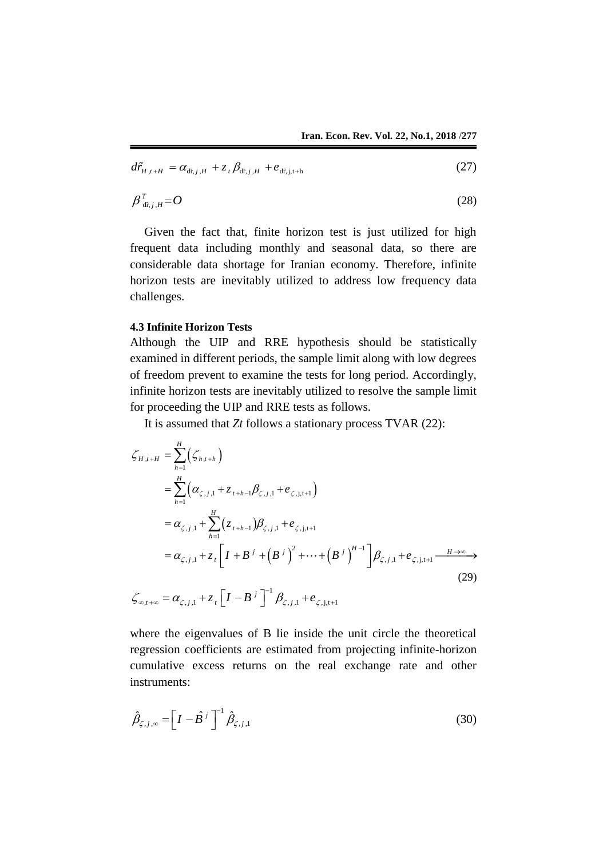$$
d\tilde{r}_{H,t+H} = \alpha_{d\tilde{r},j,H} + z_{t} \beta_{d\tilde{r},j,H} + e_{d\tilde{r},j,t+h}
$$
\n(27)

$$
\beta_{\frac{d\tilde{t},j,H}}^T = O \tag{28}
$$

Given the fact that, finite horizon test is just utilized for high frequent data including monthly and seasonal data, so there are considerable data shortage for Iranian economy. Therefore, infinite horizon tests are inevitably utilized to address low frequency data challenges.

#### **4.3 Infinite Horizon Tests**

Although the UIP and RRE hypothesis should be statistically examined in different periods, the sample limit along with low degrees of freedom prevent to examine the tests for long period. Accordingly, infinite horizon tests are inevitably utilized to resolve the sample limit for proceeding the UIP and RRE tests as follows.

It is assumed that *Zt* follows a stationary process TVAR (22):  
\n
$$
\zeta_{H,t+H} = \sum_{h=1}^{H} (\zeta_{h,t+h})
$$
\n
$$
= \sum_{h=1}^{H} (\alpha_{\zeta,j,1} + z_{t+h-1}\beta_{\zeta,j,1} + e_{\zeta,j,t+1})
$$
\n
$$
= \alpha_{\zeta,j,1} + \sum_{h=1}^{H} (z_{t+h-1})\beta_{\zeta,j,1} + e_{\zeta,j,t+1}
$$
\n
$$
= \alpha_{\zeta,j,1} + z_t \left[ I + B^{j} + (B^{j})^2 + \dots + (B^{j})^{H-1} \right] \beta_{\zeta,j,1} + e_{\zeta,j,t+1} \xrightarrow{H \to \infty} (29)
$$
\n
$$
\zeta_{\infty,t+\infty} = \alpha_{\zeta,j,1} + z_t \left[ I - B^{j} \right]^{-1} \beta_{\zeta,j,1} + e_{\zeta,j,t+1}
$$

where the eigenvalues of B lie inside the unit circle the theoretical regression coefficients are estimated from projecting infinite-horizon cumulative excess returns on the real exchange rate and other instruments:

$$
\hat{\beta}_{\zeta,j,\infty} = \left[I - \hat{B}^j\right]^{-1} \hat{\beta}_{\zeta,j,1} \tag{30}
$$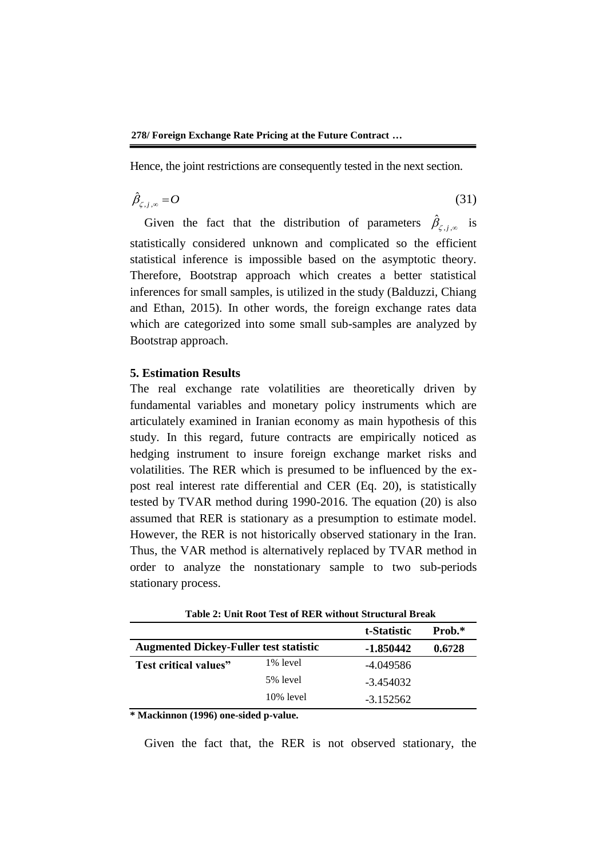Hence, the joint restrictions are consequently tested in the next section.

$$
\hat{\beta}_{\zeta,j,\infty} = O \tag{31}
$$

Given the fact that the distribution of parameters  $\hat{\beta}_{\zeta,j,\infty}$  is statistically considered unknown and complicated so the efficient statistical inference is impossible based on the asymptotic theory. Therefore, Bootstrap approach which creates a better statistical inferences for small samples, is utilized in the study (Balduzzi, Chiang and Ethan, 2015). In other words, the foreign exchange rates data which are categorized into some small sub-samples are analyzed by Bootstrap approach.

#### **5. Estimation Results**

The real exchange rate volatilities are theoretically driven by fundamental variables and monetary policy instruments which are articulately examined in Iranian economy as main hypothesis of this study. In this regard, future contracts are empirically noticed as hedging instrument to insure foreign exchange market risks and volatilities. The RER which is presumed to be influenced by the expost real interest rate differential and CER (Eq. 20), is statistically tested by TVAR method during 1990-2016. The equation (20) is also assumed that RER is stationary as a presumption to estimate model. However, the RER is not historically observed stationary in the Iran. Thus, the VAR method is alternatively replaced by TVAR method in order to analyze the nonstationary sample to two sub-periods stationary process.

|                                               |              | t-Statistic | Prob.* |
|-----------------------------------------------|--------------|-------------|--------|
| <b>Augmented Dickey-Fuller test statistic</b> |              | -1.850442   | 0.6728 |
| Test critical values"                         | 1% level     | -4.049586   |        |
|                                               | 5% level     | -3.454032   |        |
|                                               | $10\%$ level | $-3.152562$ |        |

**Table 2: Unit Root Test of RER without Structural Break**

**\* Mackinnon (1996) one-sided p-value.**

Given the fact that, the RER is not observed stationary, the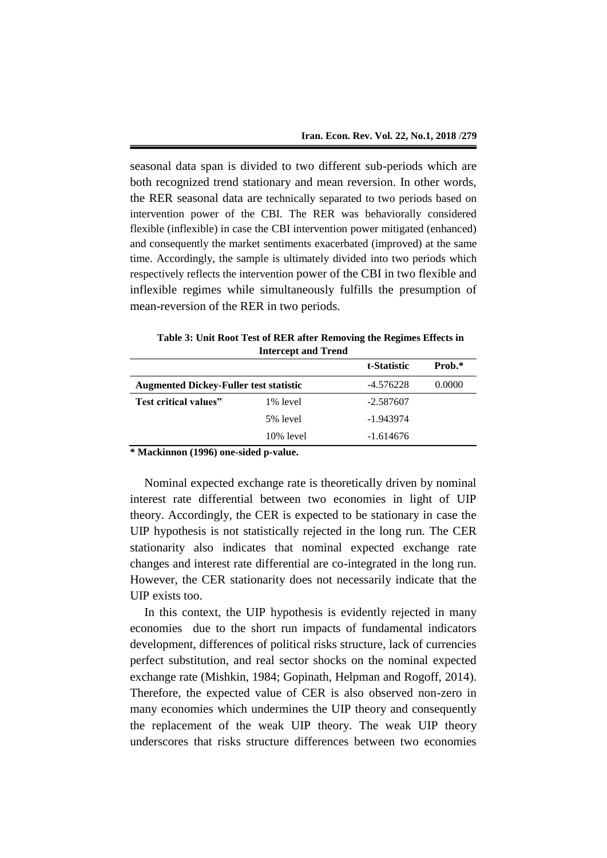seasonal data span is divided to two different sub-periods which are both recognized trend stationary and mean reversion. In other words, the RER seasonal data are technically separated to two periods based on intervention power of the CBI. The RER was behaviorally considered flexible (inflexible) in case the CBI intervention power mitigated (enhanced) and consequently the market sentiments exacerbated (improved) at the same time. Accordingly, the sample is ultimately divided into two periods which respectively reflects the intervention power of the CBI in two flexible and inflexible regimes while simultaneously fulfills the presumption of mean-reversion of the RER in two periods.

|                                               | Intercept and Trend |             |        |
|-----------------------------------------------|---------------------|-------------|--------|
|                                               |                     | t-Statistic | Prob.* |
| <b>Augmented Dickey-Fuller test statistic</b> | -4.576228           | 0.0000      |        |
| Test critical values"                         | 1% level            | -2.587607   |        |
|                                               | 5% level            | -1.943974   |        |
|                                               | $10\%$ level        | $-1.614676$ |        |

**Table 3: Unit Root Test of RER after Removing the Regimes Effects in Intercept and Trend**

**\* Mackinnon (1996) one-sided p-value.**

Nominal expected exchange rate is theoretically driven by nominal interest rate differential between two economies in light of UIP theory. Accordingly, the CER is expected to be stationary in case the UIP hypothesis is not statistically rejected in the long run. The CER stationarity also indicates that nominal expected exchange rate changes and interest rate differential are co-integrated in the long run. However, the CER stationarity does not necessarily indicate that the UIP exists too.

In this context, the UIP hypothesis is evidently rejected in many economies due to the short run impacts of fundamental indicators development, differences of political risks structure, lack of currencies perfect substitution, and real sector shocks on the nominal expected exchange rate (Mishkin, 1984; Gopinath, Helpman and Rogoff, 2014). Therefore, the expected value of CER is also observed non-zero in many economies which undermines the UIP theory and consequently the replacement of the weak UIP theory. The weak UIP theory underscores that risks structure differences between two economies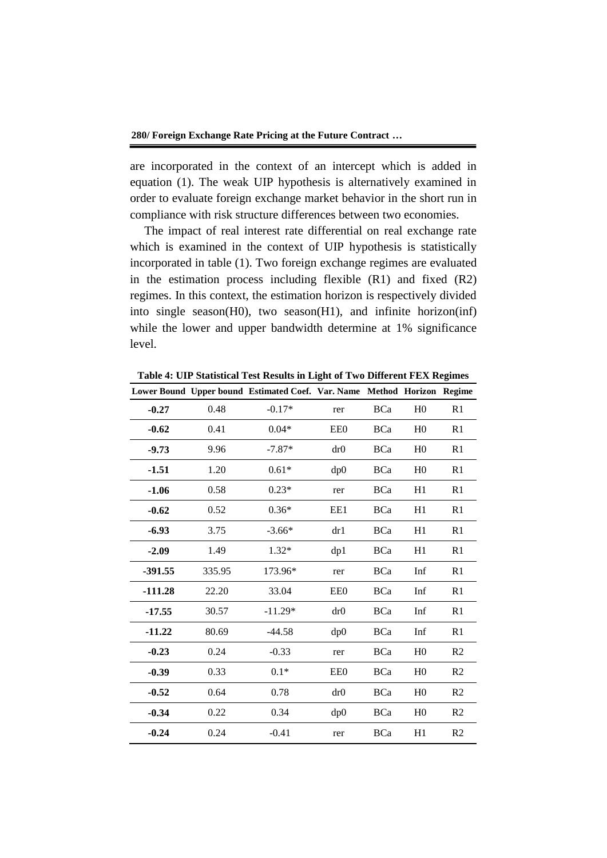are incorporated in the context of an intercept which is added in equation (1). The weak UIP hypothesis is alternatively examined in order to evaluate foreign exchange market behavior in the short run in compliance with risk structure differences between two economies.

The impact of real interest rate differential on real exchange rate which is examined in the context of UIP hypothesis is statistically incorporated in table (1). Two foreign exchange regimes are evaluated in the estimation process including flexible (R1) and fixed (R2) regimes. In this context, the estimation horizon is respectively divided into single season(H0), two season(H1), and infinite horizon(inf) while the lower and upper bandwidth determine at 1% significance level.

**Table 4: UIP Statistical Test Results in Light of Two Different FEX Regimes**

|           |        | Lower Bound Upper bound Estimated Coef. Var. Name Method Horizon Regime |     |            |                |                |
|-----------|--------|-------------------------------------------------------------------------|-----|------------|----------------|----------------|
| $-0.27$   | 0.48   | $-0.17*$                                                                | rer | <b>BCa</b> | H <sub>0</sub> | R <sub>1</sub> |
| $-0.62$   | 0.41   | $0.04*$                                                                 | EE0 | <b>BCa</b> | H <sub>0</sub> | R <sub>1</sub> |
| $-9.73$   | 9.96   | $-7.87*$                                                                | dr0 | <b>BCa</b> | H <sub>0</sub> | R <sub>1</sub> |
| $-1.51$   | 1.20   | $0.61*$                                                                 | dp0 | <b>BCa</b> | H <sub>0</sub> | R <sub>1</sub> |
| $-1.06$   | 0.58   | $0.23*$                                                                 | rer | <b>BCa</b> | H1             | R <sub>1</sub> |
| $-0.62$   | 0.52   | $0.36*$                                                                 | EE1 | <b>BCa</b> | H1             | R <sub>1</sub> |
| $-6.93$   | 3.75   | $-3.66*$                                                                | dr1 | <b>BCa</b> | H1             | R <sub>1</sub> |
| $-2.09$   | 1.49   | $1.32*$                                                                 | dp1 | <b>BCa</b> | H1             | R <sub>1</sub> |
| $-391.55$ | 335.95 | 173.96*                                                                 | rer | <b>BCa</b> | Inf            | R1             |
| $-111.28$ | 22.20  | 33.04                                                                   | EE0 | <b>BCa</b> | Inf            | R <sub>1</sub> |
| $-17.55$  | 30.57  | $-11.29*$                                                               | dr0 | <b>BCa</b> | Inf            | R <sub>1</sub> |
| $-11.22$  | 80.69  | $-44.58$                                                                | dp0 | <b>BCa</b> | Inf            | R <sub>1</sub> |
| $-0.23$   | 0.24   | $-0.33$                                                                 | rer | <b>BCa</b> | H <sub>0</sub> | R <sub>2</sub> |
| $-0.39$   | 0.33   | $0.1*$                                                                  | EE0 | <b>BCa</b> | H <sub>0</sub> | R <sub>2</sub> |
| $-0.52$   | 0.64   | 0.78                                                                    | dr0 | <b>BCa</b> | H <sub>0</sub> | R <sub>2</sub> |
| $-0.34$   | 0.22   | 0.34                                                                    | dp0 | <b>BCa</b> | H <sub>0</sub> | R <sub>2</sub> |
| $-0.24$   | 0.24   | $-0.41$                                                                 | rer | <b>BCa</b> | H1             | R2             |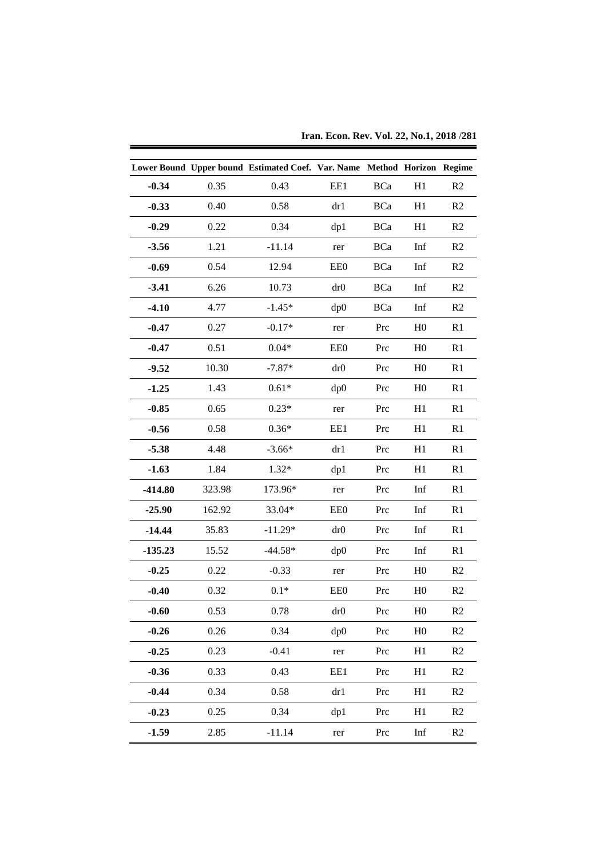|           |        | Lower Bound Upper bound Estimated Coef. Var. Name Method Horizon Regime |     |            |                |                |
|-----------|--------|-------------------------------------------------------------------------|-----|------------|----------------|----------------|
| $-0.34$   | 0.35   | 0.43                                                                    | EE1 | <b>BCa</b> | H1             | R2             |
| $-0.33$   | 0.40   | 0.58                                                                    | dr1 | <b>BCa</b> | H1             | R2             |
| $-0.29$   | 0.22   | 0.34                                                                    | dp1 | <b>BCa</b> | H1             | R2             |
|           | 1.21   |                                                                         |     |            |                |                |
| $-3.56$   |        | $-11.14$                                                                | rer | <b>BCa</b> | Inf            | R2             |
| $-0.69$   | 0.54   | 12.94                                                                   | EE0 | BCa        | Inf            | R2             |
| $-3.41$   | 6.26   | 10.73                                                                   | dr0 | <b>BCa</b> | Inf            | R2             |
| $-4.10$   | 4.77   | $-1.45*$                                                                | dp0 | <b>BCa</b> | Inf            | R2             |
| $-0.47$   | 0.27   | $-0.17*$                                                                | rer | Prc        | H <sub>0</sub> | R1             |
| $-0.47$   | 0.51   | $0.04*$                                                                 | EE0 | Prc        | H <sub>0</sub> | R1             |
| $-9.52$   | 10.30  | $-7.87*$                                                                | dr0 | Prc        | H <sub>0</sub> | R1             |
| $-1.25$   | 1.43   | $0.61*$                                                                 | dp0 | Prc        | H <sub>0</sub> | R1             |
| $-0.85$   | 0.65   | $0.23*$                                                                 | rer | Prc        | H1             | R1             |
| $-0.56$   | 0.58   | $0.36*$                                                                 | EE1 | Prc        | H1             | R1             |
| $-5.38$   | 4.48   | $-3.66*$                                                                | dr1 | Prc        | H1             | R1             |
| $-1.63$   | 1.84   | $1.32*$                                                                 | dp1 | Prc        | H1             | R1             |
| $-414.80$ | 323.98 | 173.96*                                                                 | rer | Prc        | Inf            | R1             |
| $-25.90$  | 162.92 | 33.04*                                                                  | EE0 | Prc        | Inf            | R1             |
| $-14.44$  | 35.83  | $-11.29*$                                                               | dr0 | Prc        | Inf            | R1             |
| $-135.23$ | 15.52  | $-44.58*$                                                               | dp0 | Prc        | Inf            | R1             |
| $-0.25$   | 0.22   | $-0.33$                                                                 | rer | Prc        | H <sub>0</sub> | R2             |
| $-0.40$   | 0.32   | $0.1*$                                                                  | EE0 | Prc        | H <sub>0</sub> | R2             |
| $-0.60$   | 0.53   | 0.78                                                                    | dr0 | Prc        | H <sub>0</sub> | R <sub>2</sub> |
| $-0.26$   | 0.26   | 0.34                                                                    | dp0 | Prc        | ${\rm H0}$     | R2             |
| $-0.25$   | 0.23   | $-0.41$                                                                 | rer | Prc        | H1             | R2             |
| $-0.36$   | 0.33   | 0.43                                                                    | EE1 | Prc        | H1             | R2             |
| $-0.44$   | 0.34   | 0.58                                                                    | dr1 | Prc        | H1             | R2             |
| $-0.23$   | 0.25   | 0.34                                                                    | dp1 | Prc        | H1             | R2             |
| $-1.59$   | 2.85   | $-11.14$                                                                | rer | Prc        | Inf            | R2             |

**Iran. Econ. Rev. Vol. 22, No.1, 2018 /281**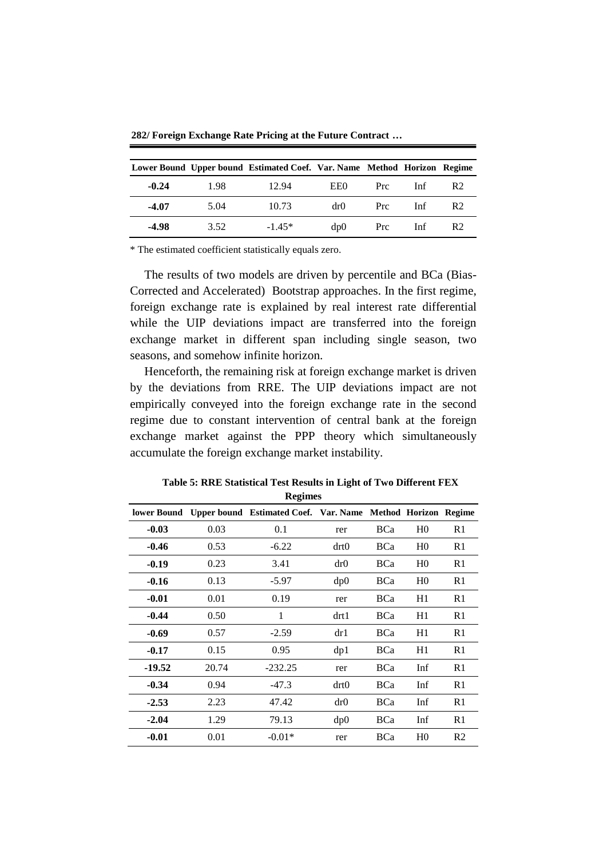**282/ Foreign Exchange Rate Pricing at the Future Contract …**

|         |      | Lower Bound Upper bound Estimated Coef. Var. Name Method Horizon Regime |       |      |     |                |
|---------|------|-------------------------------------------------------------------------|-------|------|-----|----------------|
| $-0.24$ | 1.98 | 12.94                                                                   | EE0.  | Prc. | Inf | R <sub>2</sub> |
| $-4.07$ | 5.04 | 10.73                                                                   | dr()  | Prc. | Inf | R <sub>2</sub> |
| -4.98   | 3.52 | $-1.45*$                                                                | dp(0) | Prc  | Inf | R <sub>2</sub> |

\* The estimated coefficient statistically equals zero.

The results of two models are driven by percentile and BCa (Bias-Corrected and Accelerated) Bootstrap approaches. In the first regime, foreign exchange rate is explained by real interest rate differential while the UIP deviations impact are transferred into the foreign exchange market in different span including single season, two seasons, and somehow infinite horizon.

Henceforth, the remaining risk at foreign exchange market is driven by the deviations from RRE. The UIP deviations impact are not empirically conveyed into the foreign exchange rate in the second regime due to constant intervention of central bank at the foreign exchange market against the PPP theory which simultaneously accumulate the foreign exchange market instability.

**Table 5: RRE Statistical Test Results in Light of Two Different FEX Regimes**

|         |       | lower Bound Upper bound Estimated Coef. Var. Name Method Horizon Regime |      |            |                |                |
|---------|-------|-------------------------------------------------------------------------|------|------------|----------------|----------------|
| $-0.03$ | 0.03  | 0.1                                                                     | rer  | <b>BCa</b> | H <sub>0</sub> | R1             |
| $-0.46$ | 0.53  | $-6.22$                                                                 | drt0 | BCa        | H <sub>0</sub> | R1             |
| $-0.19$ | 0.23  | 3.41                                                                    | dr0  | <b>BCa</b> | H <sub>0</sub> | R1             |
| $-0.16$ | 0.13  | $-5.97$                                                                 | dp0  | <b>BCa</b> | H <sub>0</sub> | R1             |
| $-0.01$ | 0.01  | 0.19                                                                    | rer  | <b>BCa</b> | H1             | R1             |
| $-0.44$ | 0.50  | 1                                                                       | drt1 | <b>BCa</b> | H1             | R1             |
| $-0.69$ | 0.57  | $-2.59$                                                                 | dr1  | <b>BCa</b> | H1             | R1             |
| $-0.17$ | 0.15  | 0.95                                                                    | dp1  | <b>BCa</b> | H1             | R1             |
| -19.52  | 20.74 | $-232.25$                                                               | rer  | <b>BCa</b> | Inf            | R1             |
| $-0.34$ | 0.94  | $-47.3$                                                                 | drt0 | <b>BCa</b> | Inf            | R1             |
| $-2.53$ | 2.23  | 47.42                                                                   | dr0  | <b>BCa</b> | Inf            | R1             |
| $-2.04$ | 1.29  | 79.13                                                                   | dp0  | BCa        | Inf            | R1             |
| $-0.01$ | 0.01  | $-0.01*$                                                                | rer  | <b>BCa</b> | H <sub>0</sub> | R <sub>2</sub> |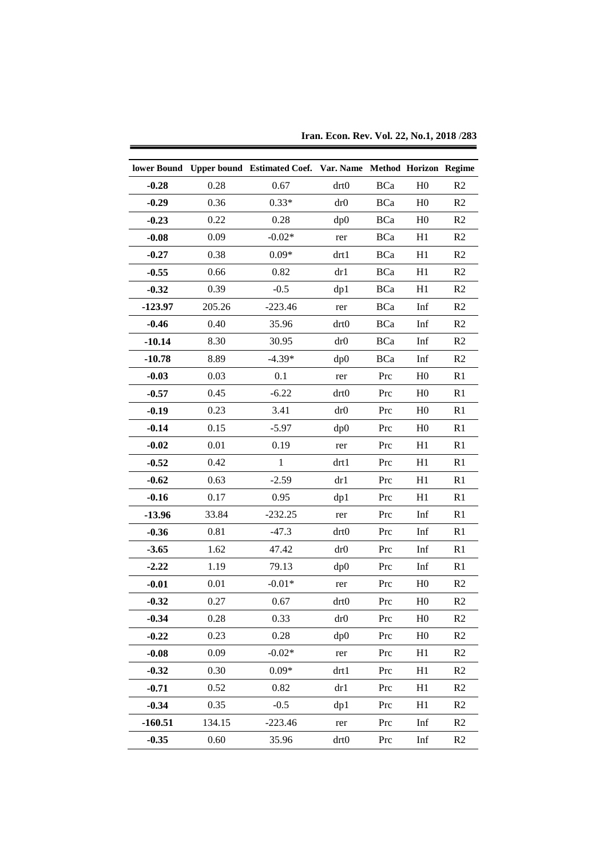|           |        | lower Bound Upper bound Estimated Coef. Var. Name Method Horizon Regime |             |            |                |                |
|-----------|--------|-------------------------------------------------------------------------|-------------|------------|----------------|----------------|
| $-0.28$   | 0.28   | 0.67                                                                    | drt0        | <b>BCa</b> | H <sub>0</sub> | R <sub>2</sub> |
| $-0.29$   | 0.36   | $0.33*$                                                                 | dr0         | <b>BCa</b> | H <sub>0</sub> | R <sub>2</sub> |
| $-0.23$   | 0.22   | 0.28                                                                    | dp0         | <b>BCa</b> | H <sub>0</sub> | R <sub>2</sub> |
| $-0.08$   | 0.09   | $-0.02*$                                                                | rer         | <b>BCa</b> | H1             | R <sub>2</sub> |
| $-0.27$   | 0.38   | $0.09*$                                                                 | drt1        | <b>BCa</b> | H1             | R2             |
| $-0.55$   | 0.66   | 0.82                                                                    | dr1         | <b>BCa</b> | H1             | R <sub>2</sub> |
| $-0.32$   | 0.39   | $-0.5$                                                                  |             | <b>BCa</b> | H1             | R <sub>2</sub> |
| $-123.97$ | 205.26 | $-223.46$                                                               | dp1         |            |                |                |
|           | 0.40   |                                                                         | rer<br>drt0 | <b>BCa</b> | Inf            | R <sub>2</sub> |
| $-0.46$   |        | 35.96                                                                   |             | <b>BCa</b> | Inf            | R <sub>2</sub> |
| $-10.14$  | 8.30   | 30.95                                                                   | dr0         | <b>BCa</b> | Inf            | R <sub>2</sub> |
| $-10.78$  | 8.89   | $-4.39*$                                                                | dp0         | <b>BCa</b> | Inf            | R2             |
| $-0.03$   | 0.03   | 0.1                                                                     | rer         | Prc        | H <sub>0</sub> | R1             |
| $-0.57$   | 0.45   | $-6.22$                                                                 | drt0        | Prc        | H <sub>0</sub> | R <sub>1</sub> |
| $-0.19$   | 0.23   | 3.41                                                                    | dr0         | Prc        | H <sub>0</sub> | R <sub>1</sub> |
| $-0.14$   | 0.15   | $-5.97$                                                                 | dp0         | Prc        | H <sub>0</sub> | R1             |
| $-0.02$   | 0.01   | 0.19                                                                    | rer         | Prc        | H1             | R1             |
| $-0.52$   | 0.42   | $\mathbf{1}$                                                            | drt1        | Prc        | H1             | R1             |
| $-0.62$   | 0.63   | $-2.59$                                                                 | dr1         | Prc        | H1             | R <sub>1</sub> |
| $-0.16$   | 0.17   | 0.95                                                                    | dp1         | Prc        | H1             | R <sub>1</sub> |
| $-13.96$  | 33.84  | $-232.25$                                                               | rer         | Prc        | Inf            | R <sub>1</sub> |
| $-0.36$   | 0.81   | $-47.3$                                                                 | drt0        | Prc        | Inf            | R <sub>1</sub> |
| $-3.65$   | 1.62   | 47.42                                                                   | dr0         | Prc        | Inf            | R1             |
| $-2.22$   | 1.19   | 79.13                                                                   | dp0         | Prc        | Inf            | R1             |
| $-0.01$   | 0.01   | $-0.01*$                                                                | rer         | Prc        | H <sub>0</sub> | R <sub>2</sub> |
| $-0.32$   | 0.27   | 0.67                                                                    | drt0        | Prc        | H <sub>0</sub> | R2             |
| $-0.34$   | 0.28   | 0.33                                                                    | dr0         | Prc        | H <sub>0</sub> | R2             |
| $-0.22$   | 0.23   | 0.28                                                                    | dp0         | Prc        | H <sub>0</sub> | R2             |
| $-0.08$   | 0.09   | $-0.02*$                                                                | rer         | Prc        | H1             | R2             |
| $-0.32$   | 0.30   | $0.09*$                                                                 | drt1        | Prc        | H1             | R2             |
| $-0.71$   | 0.52   | 0.82                                                                    | dr1         | Prc        | H1             | R2             |
| $-0.34$   | 0.35   | $-0.5$                                                                  | dp1         | Prc        | H1             | R2             |
| $-160.51$ | 134.15 | $-223.46$                                                               | rer         | Prc        | Inf            | R2             |
| $-0.35$   | 0.60   | 35.96                                                                   | drt0        | Prc        | Inf            | R <sub>2</sub> |

**Iran. Econ. Rev. Vol. 22, No.1, 2018 /283**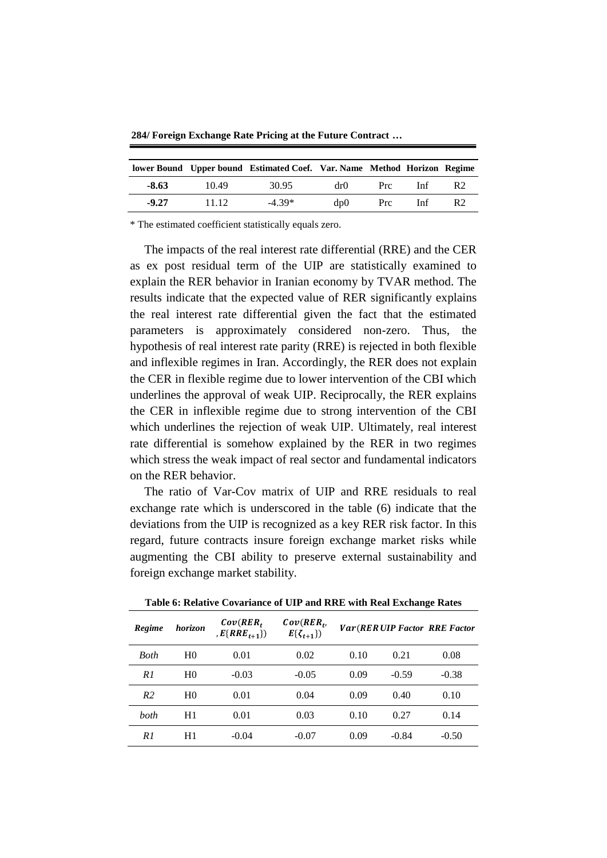**284/ Foreign Exchange Rate Pricing at the Future Contract …**

|         |       | lower Bound Upper bound Estimated Coef. Var. Name Method Horizon Regime |      |      |     |                |
|---------|-------|-------------------------------------------------------------------------|------|------|-----|----------------|
| $-8.63$ | 10.49 | 30.95                                                                   | dr() | Prc. | Inf | R <sub>2</sub> |
| $-9.27$ | 11 12 | $-4.39*$                                                                | dp0  | Prc. | Inf | R <sub>2</sub> |

\* The estimated coefficient statistically equals zero.

The impacts of the real interest rate differential (RRE) and the CER as ex post residual term of the UIP are statistically examined to explain the RER behavior in Iranian economy by TVAR method. The results indicate that the expected value of RER significantly explains the real interest rate differential given the fact that the estimated parameters is approximately considered non-zero. Thus, the hypothesis of real interest rate parity (RRE) is rejected in both flexible and inflexible regimes in Iran. Accordingly, the RER does not explain the CER in flexible regime due to lower intervention of the CBI which underlines the approval of weak UIP. Reciprocally, the RER explains the CER in inflexible regime due to strong intervention of the CBI which underlines the rejection of weak UIP. Ultimately, real interest rate differential is somehow explained by the RER in two regimes which stress the weak impact of real sector and fundamental indicators on the RER behavior.

The ratio of Var-Cov matrix of UIP and RRE residuals to real exchange rate which is underscored in the table (6) indicate that the deviations from the UIP is recognized as a key RER risk factor. In this regard, future contracts insure foreign exchange market risks while augmenting the CBI ability to preserve external sustainability and foreign exchange market stability.

| Regime         | horizon        | $Cov(RER_t)$<br>, $E\{RRE_{t+1}\})$ | $Cov(RER_t,$<br>$E\{\zeta_{t+1}\}\)$ |      |         | <b>Var(RERUIP Factor RRE Factor</b> |
|----------------|----------------|-------------------------------------|--------------------------------------|------|---------|-------------------------------------|
| Both           | H <sub>0</sub> | 0.01                                | 0.02                                 | 0.10 | 0.21    | 0.08                                |
| R1             | H <sub>0</sub> | $-0.03$                             | $-0.05$                              | 0.09 | $-0.59$ | $-0.38$                             |
| R <sub>2</sub> | H <sub>0</sub> | 0.01                                | 0.04                                 | 0.09 | 0.40    | 0.10                                |
| <i>both</i>    | H1             | 0.01                                | 0.03                                 | 0.10 | 0.27    | 0.14                                |
| R1             | H1             | $-0.04$                             | $-0.07$                              | 0.09 | $-0.84$ | $-0.50$                             |

**Table 6: Relative Covariance of UIP and RRE with Real Exchange Rates**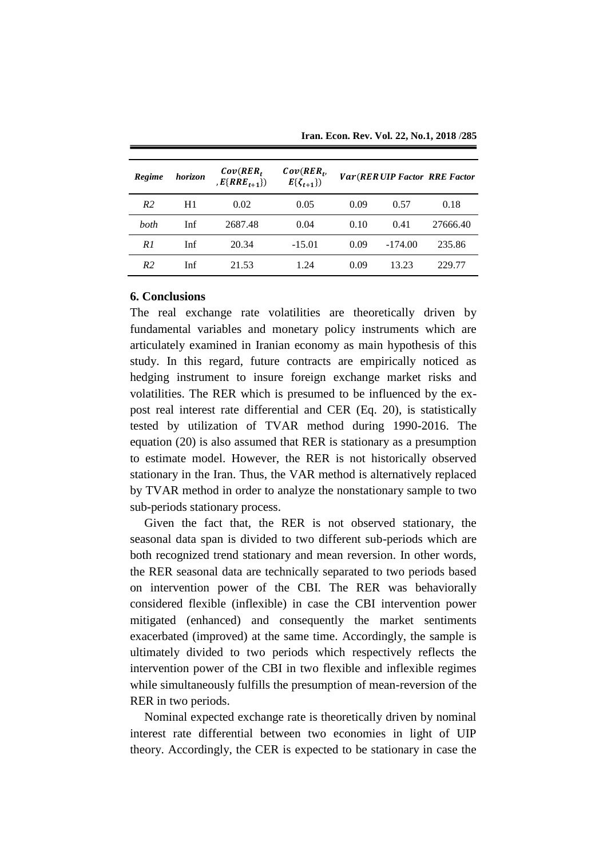| Regime         | horizon | $Cov(RER_t)$<br>, $E\{RRE_{t+1}\})$ | $Cov(RER_t,$<br>$E\{\zeta_{t+1}\}\)$ |      |           | <b>Var(RERUIP Factor RRE Factor</b> |
|----------------|---------|-------------------------------------|--------------------------------------|------|-----------|-------------------------------------|
| R <sub>2</sub> | H1      | 0.02                                | 0.05                                 | 0.09 | 0.57      | 0.18                                |
| both           | Inf     | 2687.48                             | 0.04                                 | 0.10 | 0.41      | 27666.40                            |
| R1             | Inf     | 20.34                               | $-15.01$                             | 0.09 | $-174.00$ | 235.86                              |
| R <sub>2</sub> | Inf     | 21.53                               | 1.24                                 | 0.09 | 13.23     | 229.77                              |

**Iran. Econ. Rev. Vol. 22, No.1, 2018 /285**

## **6. Conclusions**

The real exchange rate volatilities are theoretically driven by fundamental variables and monetary policy instruments which are articulately examined in Iranian economy as main hypothesis of this study. In this regard, future contracts are empirically noticed as hedging instrument to insure foreign exchange market risks and volatilities. The RER which is presumed to be influenced by the expost real interest rate differential and CER (Eq. 20), is statistically tested by utilization of TVAR method during 1990-2016. The equation (20) is also assumed that RER is stationary as a presumption to estimate model. However, the RER is not historically observed stationary in the Iran. Thus, the VAR method is alternatively replaced by TVAR method in order to analyze the nonstationary sample to two sub-periods stationary process.

Given the fact that, the RER is not observed stationary, the seasonal data span is divided to two different sub-periods which are both recognized trend stationary and mean reversion. In other words, the RER seasonal data are technically separated to two periods based on intervention power of the CBI. The RER was behaviorally considered flexible (inflexible) in case the CBI intervention power mitigated (enhanced) and consequently the market sentiments exacerbated (improved) at the same time. Accordingly, the sample is ultimately divided to two periods which respectively reflects the intervention power of the CBI in two flexible and inflexible regimes while simultaneously fulfills the presumption of mean-reversion of the RER in two periods.

Nominal expected exchange rate is theoretically driven by nominal interest rate differential between two economies in light of UIP theory. Accordingly, the CER is expected to be stationary in case the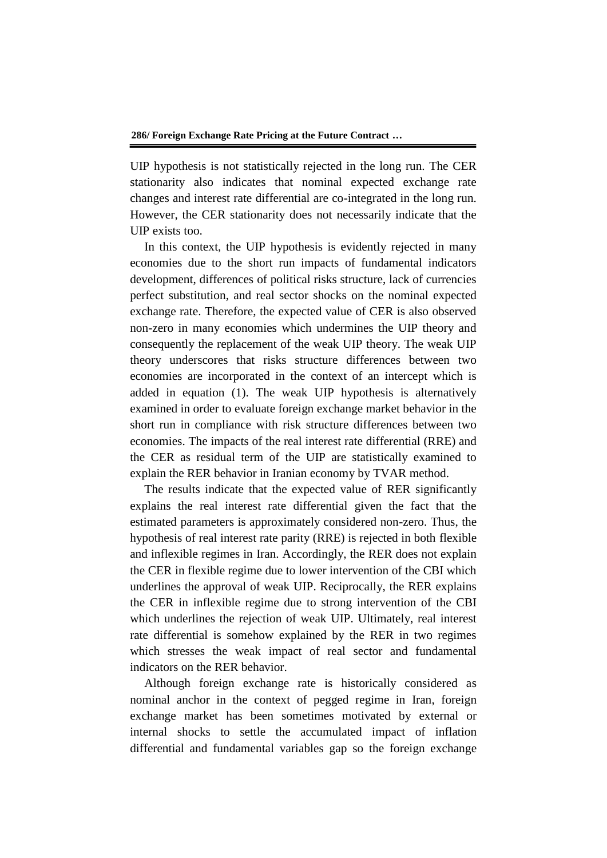UIP hypothesis is not statistically rejected in the long run. The CER stationarity also indicates that nominal expected exchange rate changes and interest rate differential are co-integrated in the long run. However, the CER stationarity does not necessarily indicate that the UIP exists too.

In this context, the UIP hypothesis is evidently rejected in many economies due to the short run impacts of fundamental indicators development, differences of political risks structure, lack of currencies perfect substitution, and real sector shocks on the nominal expected exchange rate. Therefore, the expected value of CER is also observed non-zero in many economies which undermines the UIP theory and consequently the replacement of the weak UIP theory. The weak UIP theory underscores that risks structure differences between two economies are incorporated in the context of an intercept which is added in equation (1). The weak UIP hypothesis is alternatively examined in order to evaluate foreign exchange market behavior in the short run in compliance with risk structure differences between two economies. The impacts of the real interest rate differential (RRE) and the CER as residual term of the UIP are statistically examined to explain the RER behavior in Iranian economy by TVAR method.

The results indicate that the expected value of RER significantly explains the real interest rate differential given the fact that the estimated parameters is approximately considered non-zero. Thus, the hypothesis of real interest rate parity (RRE) is rejected in both flexible and inflexible regimes in Iran. Accordingly, the RER does not explain the CER in flexible regime due to lower intervention of the CBI which underlines the approval of weak UIP. Reciprocally, the RER explains the CER in inflexible regime due to strong intervention of the CBI which underlines the rejection of weak UIP. Ultimately, real interest rate differential is somehow explained by the RER in two regimes which stresses the weak impact of real sector and fundamental indicators on the RER behavior.

Although foreign exchange rate is historically considered as nominal anchor in the context of pegged regime in Iran, foreign exchange market has been sometimes motivated by external or internal shocks to settle the accumulated impact of inflation differential and fundamental variables gap so the foreign exchange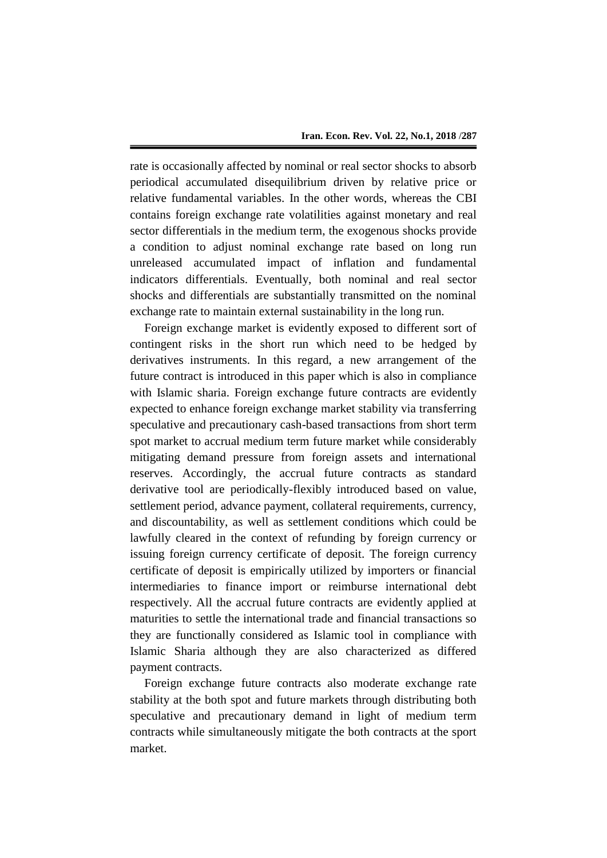rate is occasionally affected by nominal or real sector shocks to absorb periodical accumulated disequilibrium driven by relative price or relative fundamental variables. In the other words, whereas the CBI contains foreign exchange rate volatilities against monetary and real sector differentials in the medium term, the exogenous shocks provide a condition to adjust nominal exchange rate based on long run unreleased accumulated impact of inflation and fundamental indicators differentials. Eventually, both nominal and real sector shocks and differentials are substantially transmitted on the nominal exchange rate to maintain external sustainability in the long run.

Foreign exchange market is evidently exposed to different sort of contingent risks in the short run which need to be hedged by derivatives instruments. In this regard, a new arrangement of the future contract is introduced in this paper which is also in compliance with Islamic sharia. Foreign exchange future contracts are evidently expected to enhance foreign exchange market stability via transferring speculative and precautionary cash-based transactions from short term spot market to accrual medium term future market while considerably mitigating demand pressure from foreign assets and international reserves. Accordingly, the accrual future contracts as standard derivative tool are periodically-flexibly introduced based on value, settlement period, advance payment, collateral requirements, currency, and discountability, as well as settlement conditions which could be lawfully cleared in the context of refunding by foreign currency or issuing foreign currency certificate of deposit. The foreign currency certificate of deposit is empirically utilized by importers or financial intermediaries to finance import or reimburse international debt respectively. All the accrual future contracts are evidently applied at maturities to settle the international trade and financial transactions so they are functionally considered as Islamic tool in compliance with Islamic Sharia although they are also characterized as differed payment contracts.

Foreign exchange future contracts also moderate exchange rate stability at the both spot and future markets through distributing both speculative and precautionary demand in light of medium term contracts while simultaneously mitigate the both contracts at the sport market.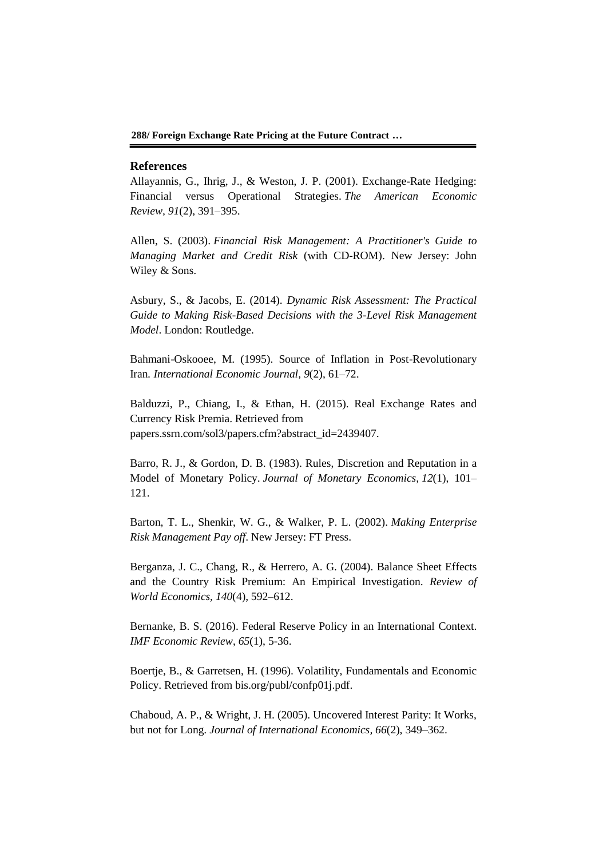**288/ Foreign Exchange Rate Pricing at the Future Contract …**

#### **References**

Allayannis, G., Ihrig, J., & Weston, J. P. (2001). Exchange-Rate Hedging: Financial versus Operational Strategies. *The American Economic Review, 91*(2), 391–395.

Allen, S. (2003). *Financial Risk Management: A Practitioner's Guide to Managing Market and Credit Risk* (with CD-ROM). New Jersey: John Wiley & Sons.

Asbury, S., & Jacobs, E. (2014). *Dynamic Risk Assessment: The Practical Guide to Making Risk-Based Decisions with the 3-Level Risk Management Model*. London: Routledge.

Bahmani-Oskooee, M. (1995). Source of Inflation in Post-Revolutionary Iran*. International Economic Journal, 9*(2), 61–72.

Balduzzi, P., Chiang, I., & Ethan, H. (2015). Real Exchange Rates and Currency Risk Premia. Retrieved from papers.ssrn.com/sol3/papers.cfm?abstract\_id=2439407.

Barro, R. J., & Gordon, D. B. (1983). Rules, Discretion and Reputation in a Model of Monetary Policy. *Journal of Monetary Economics, 12*(1), 101– 121.

Barton, T. L., Shenkir, W. G., & Walker, P. L. (2002). *Making Enterprise Risk Management Pay off*. New Jersey: FT Press.

Berganza, J. C., Chang, R., & Herrero, A. G. (2004). Balance Sheet Effects and the Country Risk Premium: An Empirical Investigation. *Review of World Economics, 140*(4), 592–612.

Bernanke, B. S. (2016). Federal Reserve Policy in an International Context. *IMF Economic Review*, *65*(1), 5-36.

Boertje, B., & Garretsen, H. (1996). Volatility, Fundamentals and Economic Policy. Retrieved from bis.org/publ/confp01j.pdf.

Chaboud, A. P., & Wright, J. H. (2005). Uncovered Interest Parity: It Works, but not for Long. *Journal of International Economics, 66*(2), 349–362.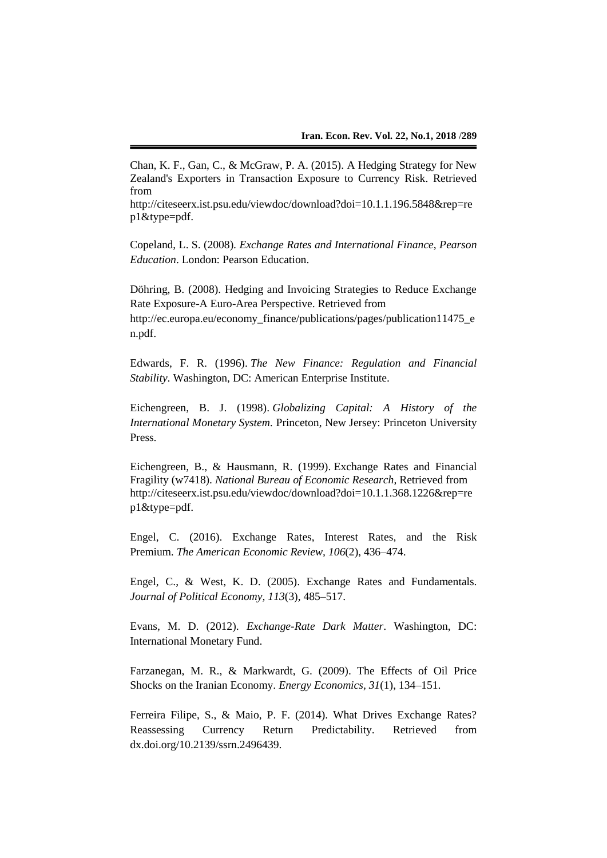Chan, K. F., Gan, C., & McGraw, P. A. (2015). A Hedging Strategy for New Zealand's Exporters in Transaction Exposure to Currency Risk. Retrieved from

http://citeseerx.ist.psu.edu/viewdoc/download?doi=10.1.1.196.5848&rep=re p1&type=pdf.

Copeland, L. S. (2008). *Exchange Rates and International Finance*, *Pearson Education*. London: Pearson Education.

Döhring, B. (2008). Hedging and Invoicing Strategies to Reduce Exchange Rate Exposure-A Euro-Area Perspective. Retrieved from http://ec.europa.eu/economy\_finance/publications/pages/publication11475\_e n.pdf.

Edwards, F. R. (1996). *The New Finance: Regulation and Financial Stability*. Washington, DC: American Enterprise Institute.

Eichengreen, B. J. (1998). *Globalizing Capital: A History of the International Monetary System.* Princeton, New Jersey: Princeton University Press.

Eichengreen, B., & Hausmann, R. (1999). Exchange Rates and Financial Fragility (w7418). *National Bureau of Economic Research*, Retrieved from http://citeseerx.ist.psu.edu/viewdoc/download?doi=10.1.1.368.1226&rep=re p1&type=pdf.

Engel, C. (2016). Exchange Rates, Interest Rates, and the Risk Premium. *The American Economic Review, 106*(2), 436–474.

Engel, C., & West, K. D. (2005). Exchange Rates and Fundamentals. *Journal of Political Economy, 113*(3), 485–517.

Evans, M. D. (2012). *Exchange-Rate Dark Matter*. Washington, DC: International Monetary Fund.

Farzanegan, M. R., & Markwardt, G. (2009). The Effects of Oil Price Shocks on the Iranian Economy. *Energy Economics, 31*(1), 134–151.

Ferreira Filipe, S., & Maio, P. F. (2014). What Drives Exchange Rates? Reassessing Currency Return Predictability. Retrieved from dx.doi.org/10.2139/ssrn.2496439.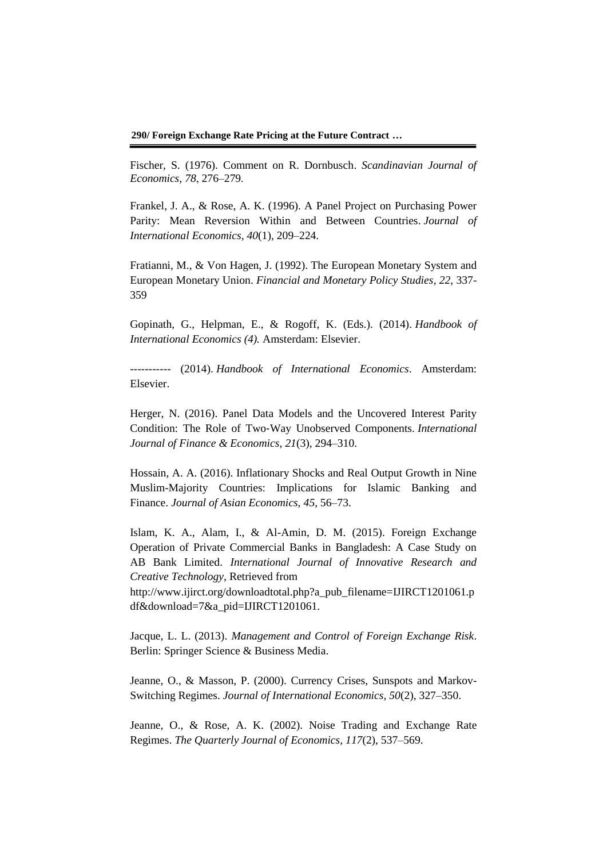**290/ Foreign Exchange Rate Pricing at the Future Contract …**

Fischer, S. (1976). Comment on R. Dornbusch. *Scandinavian Journal of Economics, 78*, 276–279.

Frankel, J. A., & Rose, A. K. (1996). A Panel Project on Purchasing Power Parity: Mean Reversion Within and Between Countries. *Journal of International Economics, 40*(1), 209–224.

Fratianni, M., & Von Hagen, J. (1992). The European Monetary System and European Monetary Union. *Financial and Monetary Policy Studies, 22*, 337- 359

Gopinath, G., Helpman, E., & Rogoff, K. (Eds.). (2014). *Handbook of International Economics (4).* Amsterdam: Elsevier.

----------- (2014). *Handbook of International Economics*. Amsterdam: Elsevier.

Herger, N. (2016). Panel Data Models and the Uncovered Interest Parity Condition: The Role of Two‐Way Unobserved Components. *International Journal of Finance & Economics, 21*(3), 294–310.

Hossain, A. A. (2016). Inflationary Shocks and Real Output Growth in Nine Muslim-Majority Countries: Implications for Islamic Banking and Finance. *Journal of Asian Economics, 45*, 56–73.

Islam, K. A., Alam, I., & Al-Amin, D. M. (2015). Foreign Exchange Operation of Private Commercial Banks in Bangladesh: A Case Study on AB Bank Limited. *International Journal of Innovative Research and Creative Technology,* Retrieved from

http://www.ijirct.org/downloadtotal.php?a\_pub\_filename=IJIRCT1201061.p df&download=7&a\_pid=IJIRCT1201061.

Jacque, L. L. (2013). *Management and Control of Foreign Exchange Risk*. Berlin: Springer Science & Business Media.

Jeanne, O., & Masson, P. (2000). Currency Crises, Sunspots and Markov-Switching Regimes. *Journal of International Economics, 50*(2), 327–350.

Jeanne, O., & Rose, A. K. (2002). Noise Trading and Exchange Rate Regimes. *The Quarterly Journal of Economics, 117*(2), 537–569.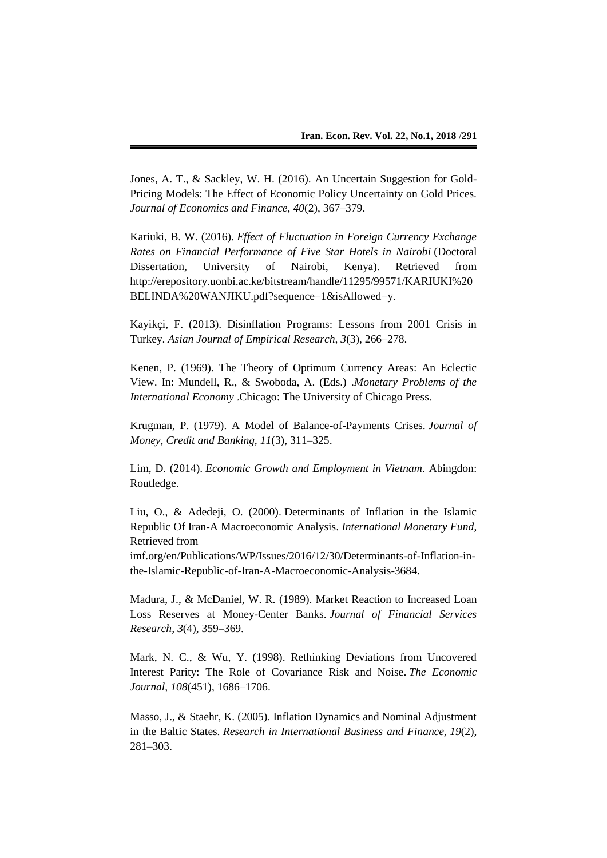Jones, A. T., & Sackley, W. H. (2016). An Uncertain Suggestion for Gold-Pricing Models: The Effect of Economic Policy Uncertainty on Gold Prices. *Journal of Economics and Finance, 40*(2), 367–379.

Kariuki, B. W. (2016). *Effect of Fluctuation in Foreign Currency Exchange Rates on Financial Performance of Five Star Hotels in Nairobi* (Doctoral Dissertation, University of Nairobi, Kenya). Retrieved from http://erepository.uonbi.ac.ke/bitstream/handle/11295/99571/KARIUKI%20 BELINDA%20WANJIKU.pdf?sequence=1&isAllowed=y.

Kayikçi, F. (2013). Disinflation Programs: Lessons from 2001 Crisis in Turkey. *Asian Journal of Empirical Research, 3*(3), 266–278.

Kenen, P. (1969). The Theory of Optimum Currency Areas: An Eclectic View. In: Mundell, R., & Swoboda, A. (Eds.) .*Monetary Problems of the International Economy* .Chicago: The University of Chicago Press.

Krugman, P. (1979). A Model of Balance-of-Payments Crises. *Journal of Money, Credit and Banking, 11*(3), 311–325.

Lim, D. (2014). *Economic Growth and Employment in Vietnam*. Abingdon: Routledge.

Liu, O., & Adedeji, O. (2000). Determinants of Inflation in the Islamic Republic Of Iran-A Macroeconomic Analysis. *International Monetary Fund*, Retrieved from

imf.org/en/Publications/WP/Issues/2016/12/30/Determinants-of-Inflation-inthe-Islamic-Republic-of-Iran-A-Macroeconomic-Analysis-3684.

Madura, J., & McDaniel, W. R. (1989). Market Reaction to Increased Loan Loss Reserves at Money-Center Banks. *Journal of Financial Services Research, 3*(4), 359–369.

Mark, N. C., & Wu, Y. (1998). Rethinking Deviations from Uncovered Interest Parity: The Role of Covariance Risk and Noise. *The Economic Journal, 108*(451), 1686–1706.

Masso, J., & Staehr, K. (2005). Inflation Dynamics and Nominal Adjustment in the Baltic States. *Research in International Business and Finance, 19*(2), 281–303.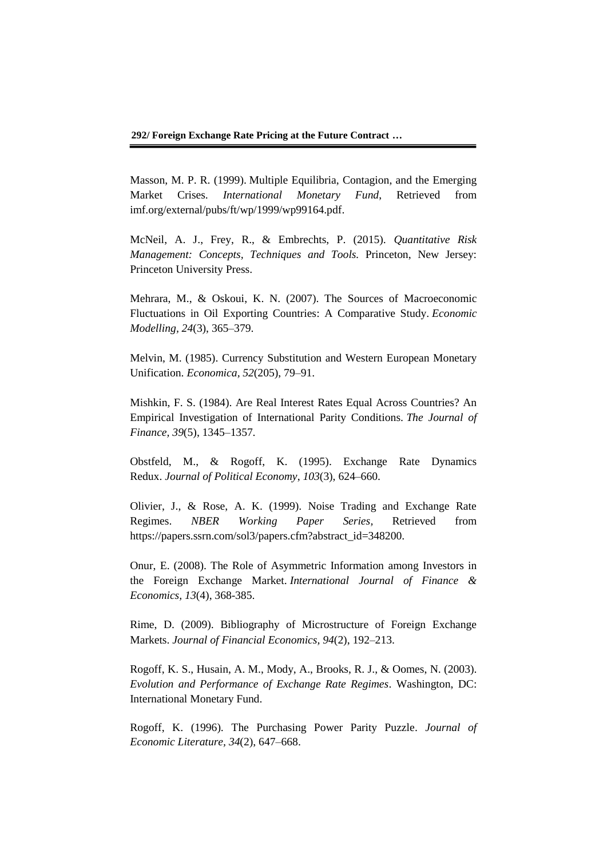Masson, M. P. R. (1999). Multiple Equilibria, Contagion, and the Emerging Market Crises. *International Monetary Fund*, Retrieved from imf.org/external/pubs/ft/wp/1999/wp99164.pdf.

McNeil, A. J., Frey, R., & Embrechts, P. (2015). *Quantitative Risk Management: Concepts, Techniques and Tools.* Princeton, New Jersey: Princeton University Press.

Mehrara, M., & Oskoui, K. N. (2007). The Sources of Macroeconomic Fluctuations in Oil Exporting Countries: A Comparative Study. *Economic Modelling, 24*(3), 365–379.

Melvin, M. (1985). Currency Substitution and Western European Monetary Unification. *Economica, 52*(205), 79–91.

Mishkin, F. S. (1984). Are Real Interest Rates Equal Across Countries? An Empirical Investigation of International Parity Conditions. *The Journal of Finance, 39*(5), 1345–1357.

Obstfeld, M., & Rogoff, K. (1995). Exchange Rate Dynamics Redux. *Journal of Political Economy*, *103*(3), 624–660.

Olivier, J., & Rose, A. K. (1999). Noise Trading and Exchange Rate Regimes. *NBER Working Paper Series,* Retrieved from https://papers.ssrn.com/sol3/papers.cfm?abstract\_id=348200.

Onur, E. (2008). The Role of Asymmetric Information among Investors in the Foreign Exchange Market. *International Journal of Finance & Economics, 13*(4), 368-385.

Rime, D. (2009). Bibliography of Microstructure of Foreign Exchange Markets. *Journal of Financial Economics, 94*(2), 192–213.

Rogoff, K. S., Husain, A. M., Mody, A., Brooks, R. J., & Oomes, N. (2003). *Evolution and Performance of Exchange Rate Regimes*. Washington, DC: International Monetary Fund.

Rogoff, K. (1996). The Purchasing Power Parity Puzzle. *Journal of Economic Literature, 34*(2), 647–668.